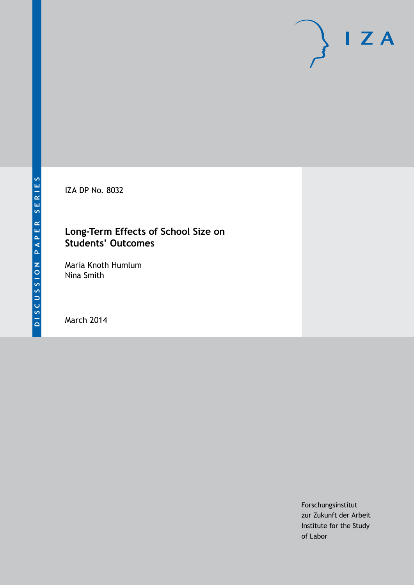IZA DP No. 8032

## **Long-Term Effects of School Size on Students' Outcomes**

Maria Knoth Humlum Nina Smith

March 2014

Forschungsinstitut zur Zukunft der Arbeit Institute for the Study of Labor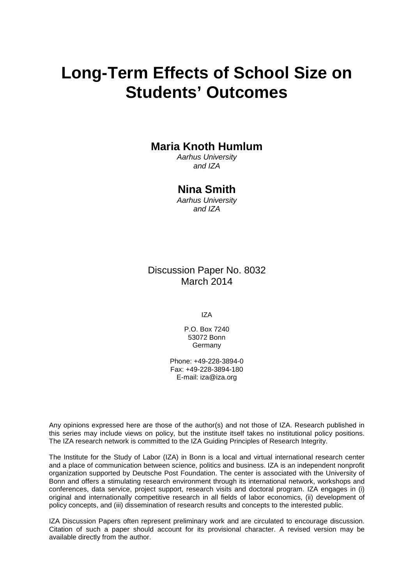# **Long-Term Effects of School Size on Students' Outcomes**

## **Maria Knoth Humlum**

*Aarhus University and IZA*

## **Nina Smith**

*Aarhus University and IZA*

Discussion Paper No. 8032 March 2014

IZA

P.O. Box 7240 53072 Bonn **Germany** 

Phone: +49-228-3894-0 Fax: +49-228-3894-180 E-mail: [iza@iza.org](mailto:iza@iza.org)

Any opinions expressed here are those of the author(s) and not those of IZA. Research published in this series may include views on policy, but the institute itself takes no institutional policy positions. The IZA research network is committed to the IZA Guiding Principles of Research Integrity.

The Institute for the Study of Labor (IZA) in Bonn is a local and virtual international research center and a place of communication between science, politics and business. IZA is an independent nonprofit organization supported by Deutsche Post Foundation. The center is associated with the University of Bonn and offers a stimulating research environment through its international network, workshops and conferences, data service, project support, research visits and doctoral program. IZA engages in (i) original and internationally competitive research in all fields of labor economics, (ii) development of policy concepts, and (iii) dissemination of research results and concepts to the interested public.

<span id="page-1-0"></span>IZA Discussion Papers often represent preliminary work and are circulated to encourage discussion. Citation of such a paper should account for its provisional character. A revised version may be available directly from the author.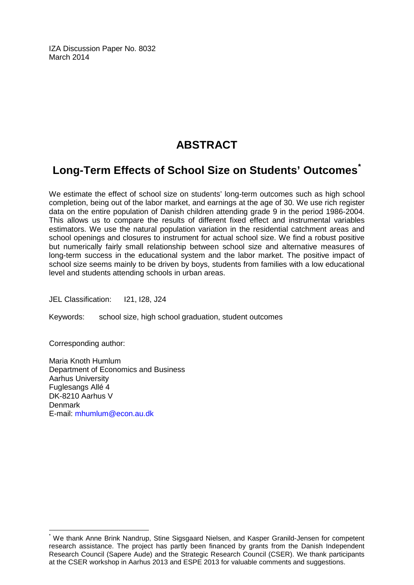IZA Discussion Paper No. 8032 March 2014

## **ABSTRACT**

## **Long-Term Effects of School Size on Students' Outcomes[\\*](#page-1-0)**

We estimate the effect of school size on students' long-term outcomes such as high school completion, being out of the labor market, and earnings at the age of 30. We use rich register data on the entire population of Danish children attending grade 9 in the period 1986-2004. This allows us to compare the results of different fixed effect and instrumental variables estimators. We use the natural population variation in the residential catchment areas and school openings and closures to instrument for actual school size. We find a robust positive but numerically fairly small relationship between school size and alternative measures of long-term success in the educational system and the labor market. The positive impact of school size seems mainly to be driven by boys, students from families with a low educational level and students attending schools in urban areas.

JEL Classification: I21, I28, J24

Keywords: school size, high school graduation, student outcomes

Corresponding author:

Maria Knoth Humlum Department of Economics and Business Aarhus University Fuglesangs Allé 4 DK-8210 Aarhus V Denmark E-mail: [mhumlum@econ.au.dk](mailto:mhumlum@econ.au.dk)

We thank Anne Brink Nandrup, Stine Sigsgaard Nielsen, and Kasper Granild-Jensen for competent research assistance. The project has partly been financed by grants from the Danish Independent Research Council (Sapere Aude) and the Strategic Research Council (CSER). We thank participants at the CSER workshop in Aarhus 2013 and ESPE 2013 for valuable comments and suggestions.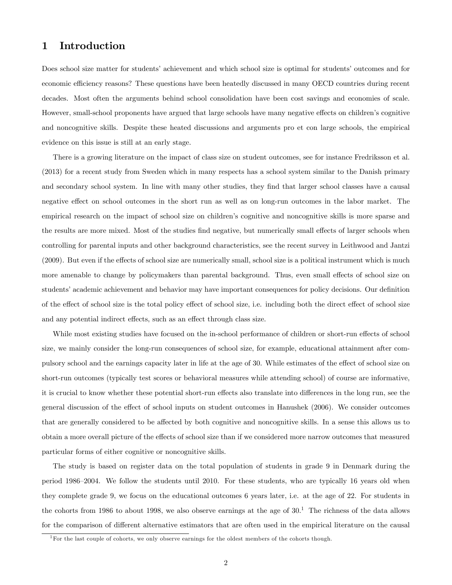## 1 Introduction

Does school size matter for students' achievement and which school size is optimal for students' outcomes and for economic efficiency reasons? These questions have been heatedly discussed in many OECD countries during recent decades. Most often the arguments behind school consolidation have been cost savings and economies of scale. However, small-school proponents have argued that large schools have many negative effects on children's cognitive and noncognitive skills. Despite these heated discussions and arguments pro et con large schools, the empirical evidence on this issue is still at an early stage.

There is a growing literature on the impact of class size on student outcomes, see for instance Fredriksson et al. (2013) for a recent study from Sweden which in many respects has a school system similar to the Danish primary and secondary school system. In line with many other studies, they find that larger school classes have a causal negative effect on school outcomes in the short run as well as on long-run outcomes in the labor market. The empirical research on the impact of school size on children's cognitive and noncognitive skills is more sparse and the results are more mixed. Most of the studies find negative, but numerically small effects of larger schools when controlling for parental inputs and other background characteristics, see the recent survey in Leithwood and Jantzi (2009). But even if the effects of school size are numerically small, school size is a political instrument which is much more amenable to change by policymakers than parental background. Thus, even small effects of school size on students' academic achievement and behavior may have important consequences for policy decisions. Our definition of the effect of school size is the total policy effect of school size, i.e. including both the direct effect of school size and any potential indirect effects, such as an effect through class size.

While most existing studies have focused on the in-school performance of children or short-run effects of school size, we mainly consider the long-run consequences of school size, for example, educational attainment after compulsory school and the earnings capacity later in life at the age of 30. While estimates of the effect of school size on short-run outcomes (typically test scores or behavioral measures while attending school) of course are informative, it is crucial to know whether these potential short-run effects also translate into differences in the long run, see the general discussion of the effect of school inputs on student outcomes in Hanushek (2006). We consider outcomes that are generally considered to be affected by both cognitive and noncognitive skills. In a sense this allows us to obtain a more overall picture of the effects of school size than if we considered more narrow outcomes that measured particular forms of either cognitive or noncognitive skills.

The study is based on register data on the total population of students in grade 9 in Denmark during the period 1986–2004. We follow the students until 2010. For these students, who are typically 16 years old when they complete grade 9, we focus on the educational outcomes 6 years later, i.e. at the age of 22. For students in the cohorts from 1986 to about 1998, we also observe earnings at the age of  $30<sup>1</sup>$  The richness of the data allows for the comparison of different alternative estimators that are often used in the empirical literature on the causal

<sup>&</sup>lt;sup>1</sup>For the last couple of cohorts, we only observe earnings for the oldest members of the cohorts though.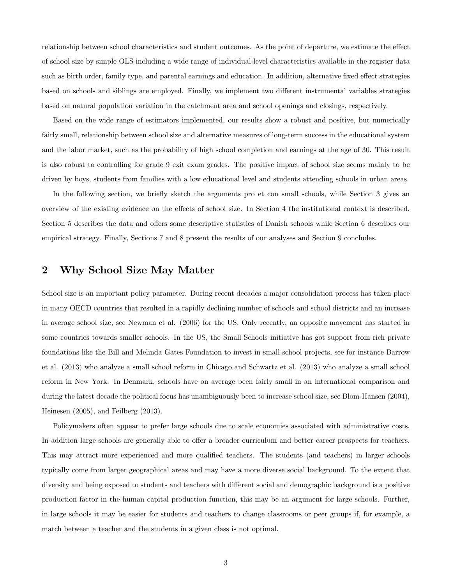relationship between school characteristics and student outcomes. As the point of departure, we estimate the effect of school size by simple OLS including a wide range of individual-level characteristics available in the register data such as birth order, family type, and parental earnings and education. In addition, alternative fixed effect strategies based on schools and siblings are employed. Finally, we implement two different instrumental variables strategies based on natural population variation in the catchment area and school openings and closings, respectively.

Based on the wide range of estimators implemented, our results show a robust and positive, but numerically fairly small, relationship between school size and alternative measures of long-term success in the educational system and the labor market, such as the probability of high school completion and earnings at the age of 30. This result is also robust to controlling for grade 9 exit exam grades. The positive impact of school size seems mainly to be driven by boys, students from families with a low educational level and students attending schools in urban areas.

In the following section, we briefly sketch the arguments pro et con small schools, while Section 3 gives an overview of the existing evidence on the effects of school size. In Section 4 the institutional context is described. Section 5 describes the data and offers some descriptive statistics of Danish schools while Section 6 describes our empirical strategy. Finally, Sections 7 and 8 present the results of our analyses and Section 9 concludes.

### 2 Why School Size May Matter

School size is an important policy parameter. During recent decades a major consolidation process has taken place in many OECD countries that resulted in a rapidly declining number of schools and school districts and an increase in average school size, see Newman et al. (2006) for the US. Only recently, an opposite movement has started in some countries towards smaller schools. In the US, the Small Schools initiative has got support from rich private foundations like the Bill and Melinda Gates Foundation to invest in small school projects, see for instance Barrow et al. (2013) who analyze a small school reform in Chicago and Schwartz et al. (2013) who analyze a small school reform in New York. In Denmark, schools have on average been fairly small in an international comparison and during the latest decade the political focus has unambiguously been to increase school size, see Blom-Hansen (2004), Heinesen (2005), and Feilberg (2013).

Policymakers often appear to prefer large schools due to scale economies associated with administrative costs. In addition large schools are generally able to offer a broader curriculum and better career prospects for teachers. This may attract more experienced and more qualified teachers. The students (and teachers) in larger schools typically come from larger geographical areas and may have a more diverse social background. To the extent that diversity and being exposed to students and teachers with different social and demographic background is a positive production factor in the human capital production function, this may be an argument for large schools. Further, in large schools it may be easier for students and teachers to change classrooms or peer groups if, for example, a match between a teacher and the students in a given class is not optimal.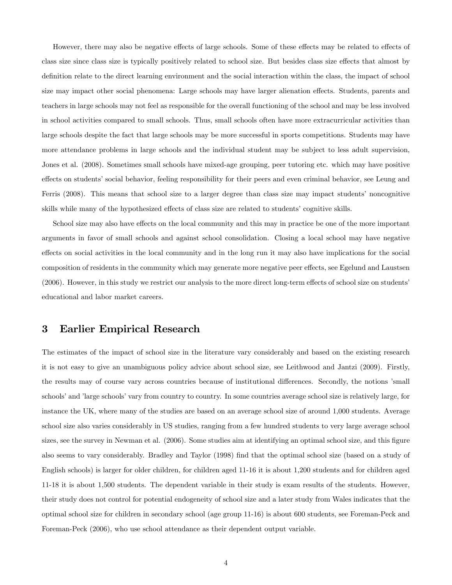However, there may also be negative effects of large schools. Some of these effects may be related to effects of class size since class size is typically positively related to school size. But besides class size effects that almost by definition relate to the direct learning environment and the social interaction within the class, the impact of school size may impact other social phenomena: Large schools may have larger alienation effects. Students, parents and teachers in large schools may not feel as responsible for the overall functioning of the school and may be less involved in school activities compared to small schools. Thus, small schools often have more extracurricular activities than large schools despite the fact that large schools may be more successful in sports competitions. Students may have more attendance problems in large schools and the individual student may be subject to less adult supervision, Jones et al. (2008). Sometimes small schools have mixed-age grouping, peer tutoring etc. which may have positive effects on students' social behavior, feeling responsibility for their peers and even criminal behavior, see Leung and Ferris (2008). This means that school size to a larger degree than class size may impact students' noncognitive skills while many of the hypothesized effects of class size are related to students' cognitive skills.

School size may also have effects on the local community and this may in practice be one of the more important arguments in favor of small schools and against school consolidation. Closing a local school may have negative effects on social activities in the local community and in the long run it may also have implications for the social composition of residents in the community which may generate more negative peer effects, see Egelund and Laustsen  $(2006)$ . However, in this study we restrict our analysis to the more direct long-term effects of school size on students educational and labor market careers.

### 3 Earlier Empirical Research

The estimates of the impact of school size in the literature vary considerably and based on the existing research it is not easy to give an unambiguous policy advice about school size, see Leithwood and Jantzi (2009). Firstly, the results may of course vary across countries because of institutional differences. Secondly, the notions 'small schools' and 'large schools' vary from country to country. In some countries average school size is relatively large, for instance the UK, where many of the studies are based on an average school size of around 1,000 students. Average school size also varies considerably in US studies, ranging from a few hundred students to very large average school sizes, see the survey in Newman et al. (2006). Some studies aim at identifying an optimal school size, and this figure also seems to vary considerably. Bradley and Taylor (1998) Önd that the optimal school size (based on a study of English schools) is larger for older children, for children aged 11-16 it is about 1,200 students and for children aged 11-18 it is about 1,500 students. The dependent variable in their study is exam results of the students. However, their study does not control for potential endogeneity of school size and a later study from Wales indicates that the optimal school size for children in secondary school (age group 11-16) is about 600 students, see Foreman-Peck and Foreman-Peck (2006), who use school attendance as their dependent output variable.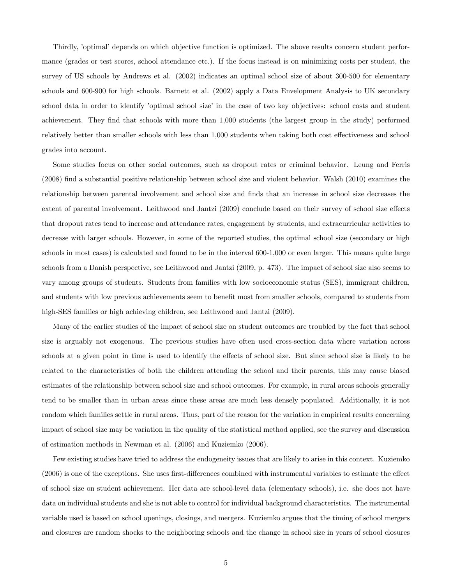Thirdly, 'optimal' depends on which objective function is optimized. The above results concern student performance (grades or test scores, school attendance etc.). If the focus instead is on minimizing costs per student, the survey of US schools by Andrews et al. (2002) indicates an optimal school size of about 300-500 for elementary schools and 600-900 for high schools. Barnett et al. (2002) apply a Data Envelopment Analysis to UK secondary school data in order to identify 'optimal school size' in the case of two key objectives: school costs and student achievement. They find that schools with more than 1,000 students (the largest group in the study) performed relatively better than smaller schools with less than 1,000 students when taking both cost effectiveness and school grades into account.

Some studies focus on other social outcomes, such as dropout rates or criminal behavior. Leung and Ferris (2008) Önd a substantial positive relationship between school size and violent behavior. Walsh (2010) examines the relationship between parental involvement and school size and finds that an increase in school size decreases the extent of parental involvement. Leithwood and Jantzi (2009) conclude based on their survey of school size effects that dropout rates tend to increase and attendance rates, engagement by students, and extracurricular activities to decrease with larger schools. However, in some of the reported studies, the optimal school size (secondary or high schools in most cases) is calculated and found to be in the interval 600-1,000 or even larger. This means quite large schools from a Danish perspective, see Leithwood and Jantzi (2009, p. 473). The impact of school size also seems to vary among groups of students. Students from families with low socioeconomic status (SES), immigrant children, and students with low previous achievements seem to benefit most from smaller schools, compared to students from high-SES families or high achieving children, see Leithwood and Jantzi (2009).

Many of the earlier studies of the impact of school size on student outcomes are troubled by the fact that school size is arguably not exogenous. The previous studies have often used cross-section data where variation across schools at a given point in time is used to identify the effects of school size. But since school size is likely to be related to the characteristics of both the children attending the school and their parents, this may cause biased estimates of the relationship between school size and school outcomes. For example, in rural areas schools generally tend to be smaller than in urban areas since these areas are much less densely populated. Additionally, it is not random which families settle in rural areas. Thus, part of the reason for the variation in empirical results concerning impact of school size may be variation in the quality of the statistical method applied, see the survey and discussion of estimation methods in Newman et al. (2006) and Kuziemko (2006).

Few existing studies have tried to address the endogeneity issues that are likely to arise in this context. Kuziemko  $(2006)$  is one of the exceptions. She uses first-differences combined with instrumental variables to estimate the effect of school size on student achievement. Her data are school-level data (elementary schools), i.e. she does not have data on individual students and she is not able to control for individual background characteristics. The instrumental variable used is based on school openings, closings, and mergers. Kuziemko argues that the timing of school mergers and closures are random shocks to the neighboring schools and the change in school size in years of school closures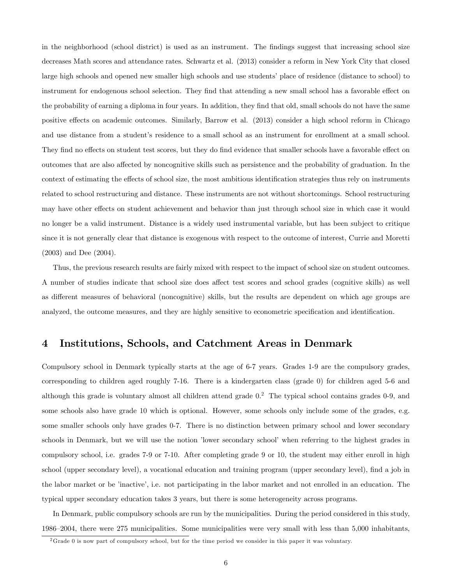in the neighborhood (school district) is used as an instrument. The findings suggest that increasing school size decreases Math scores and attendance rates. Schwartz et al. (2013) consider a reform in New York City that closed large high schools and opened new smaller high schools and use students' place of residence (distance to school) to instrument for endogenous school selection. They find that attending a new small school has a favorable effect on the probability of earning a diploma in four years. In addition, they find that old, small schools do not have the same positive effects on academic outcomes. Similarly, Barrow et al. (2013) consider a high school reform in Chicago and use distance from a student's residence to a small school as an instrument for enrollment at a small school. They find no effects on student test scores, but they do find evidence that smaller schools have a favorable effect on outcomes that are also affected by noncognitive skills such as persistence and the probability of graduation. In the context of estimating the effects of school size, the most ambitious identification strategies thus rely on instruments related to school restructuring and distance. These instruments are not without shortcomings. School restructuring may have other effects on student achievement and behavior than just through school size in which case it would no longer be a valid instrument. Distance is a widely used instrumental variable, but has been subject to critique since it is not generally clear that distance is exogenous with respect to the outcome of interest, Currie and Moretti (2003) and Dee (2004).

Thus, the previous research results are fairly mixed with respect to the impact of school size on student outcomes. A number of studies indicate that school size does affect test scores and school grades (cognitive skills) as well as different measures of behavioral (noncognitive) skills, but the results are dependent on which age groups are analyzed, the outcome measures, and they are highly sensitive to econometric specification and identification.

### 4 Institutions, Schools, and Catchment Areas in Denmark

Compulsory school in Denmark typically starts at the age of 6-7 years. Grades 1-9 are the compulsory grades, corresponding to children aged roughly 7-16. There is a kindergarten class (grade 0) for children aged 5-6 and although this grade is voluntary almost all children attend grade 0.<sup>2</sup> The typical school contains grades 0-9, and some schools also have grade 10 which is optional. However, some schools only include some of the grades, e.g. some smaller schools only have grades 0-7. There is no distinction between primary school and lower secondary schools in Denmark, but we will use the notion *lower* secondary school' when referring to the highest grades in compulsory school, i.e. grades 7-9 or 7-10. After completing grade 9 or 10, the student may either enroll in high school (upper secondary level), a vocational education and training program (upper secondary level), find a job in the labor market or be íinactiveí, i.e. not participating in the labor market and not enrolled in an education. The typical upper secondary education takes 3 years, but there is some heterogeneity across programs.

In Denmark, public compulsory schools are run by the municipalities. During the period considered in this study, 1986–2004, there were 275 municipalities. Some municipalities were very small with less than 5,000 inhabitants,

 $2G$ rade 0 is now part of compulsory school, but for the time period we consider in this paper it was voluntary.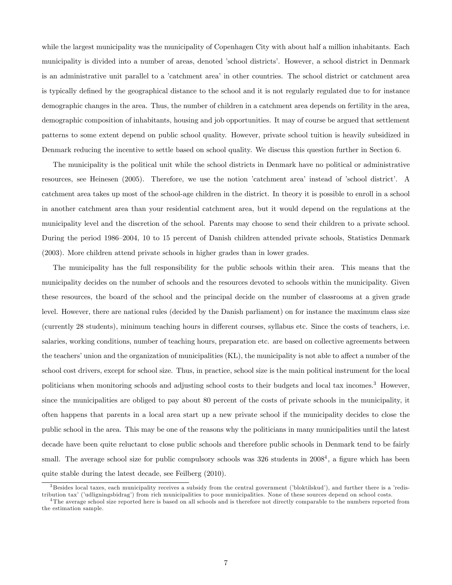while the largest municipality was the municipality of Copenhagen City with about half a million inhabitants. Each municipality is divided into a number of areas, denoted íschool districtsí. However, a school district in Denmark is an administrative unit parallel to a 'catchment area' in other countries. The school district or catchment area is typically defined by the geographical distance to the school and it is not regularly regulated due to for instance demographic changes in the area. Thus, the number of children in a catchment area depends on fertility in the area, demographic composition of inhabitants, housing and job opportunities. It may of course be argued that settlement patterns to some extent depend on public school quality. However, private school tuition is heavily subsidized in Denmark reducing the incentive to settle based on school quality. We discuss this question further in Section 6.

The municipality is the political unit while the school districts in Denmark have no political or administrative resources, see Heinesen (2005). Therefore, we use the notion 'catchment area' instead of 'school district'. A catchment area takes up most of the school-age children in the district. In theory it is possible to enroll in a school in another catchment area than your residential catchment area, but it would depend on the regulations at the municipality level and the discretion of the school. Parents may choose to send their children to a private school. During the period 1986–2004, 10 to 15 percent of Danish children attended private schools, Statistics Denmark (2003). More children attend private schools in higher grades than in lower grades.

The municipality has the full responsibility for the public schools within their area. This means that the municipality decides on the number of schools and the resources devoted to schools within the municipality. Given these resources, the board of the school and the principal decide on the number of classrooms at a given grade level. However, there are national rules (decided by the Danish parliament) on for instance the maximum class size (currently 28 students), minimum teaching hours in different courses, syllabus etc. Since the costs of teachers, i.e. salaries, working conditions, number of teaching hours, preparation etc. are based on collective agreements between the teachers' union and the organization of municipalities  $(KL)$ , the municipality is not able to affect a number of the school cost drivers, except for school size. Thus, in practice, school size is the main political instrument for the local politicians when monitoring schools and adjusting school costs to their budgets and local tax incomes.<sup>3</sup> However, since the municipalities are obliged to pay about 80 percent of the costs of private schools in the municipality, it often happens that parents in a local area start up a new private school if the municipality decides to close the public school in the area. This may be one of the reasons why the politicians in many municipalities until the latest decade have been quite reluctant to close public schools and therefore public schools in Denmark tend to be fairly small. The average school size for public compulsory schools was  $326$  students in  $2008<sup>4</sup>$ , a figure which has been quite stable during the latest decade, see Feilberg (2010).

 $3$ Besides local taxes, each municipality receives a subsidy from the central government ('bloktilskud'), and further there is a 'redistribution tax' ('udligningsbidrag') from rich municipalities to poor municipalities. None of these sources depend on school costs.

<sup>&</sup>lt;sup>4</sup>The average school size reported here is based on all schools and is therefore not directly comparable to the numbers reported from the estimation sample.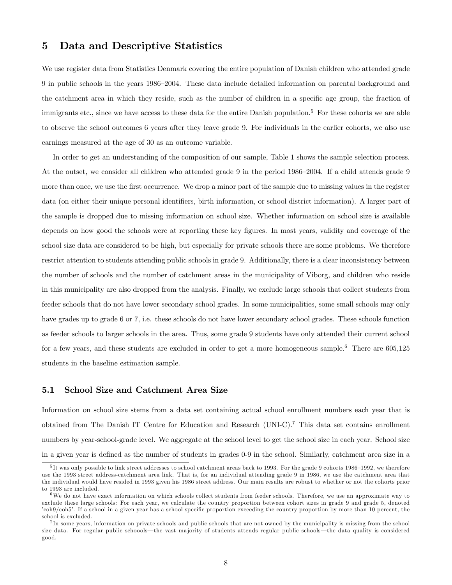### 5 Data and Descriptive Statistics

We use register data from Statistics Denmark covering the entire population of Danish children who attended grade 9 in public schools in the years 1986–2004. These data include detailed information on parental background and the catchment area in which they reside, such as the number of children in a specific age group, the fraction of immigrants etc., since we have access to these data for the entire Danish population.<sup>5</sup> For these cohorts we are able to observe the school outcomes 6 years after they leave grade 9. For individuals in the earlier cohorts, we also use earnings measured at the age of 30 as an outcome variable.

In order to get an understanding of the composition of our sample, Table 1 shows the sample selection process. At the outset, we consider all children who attended grade 9 in the period 1986–2004. If a child attends grade 9 more than once, we use the first occurrence. We drop a minor part of the sample due to missing values in the register data (on either their unique personal identifiers, birth information, or school district information). A larger part of the sample is dropped due to missing information on school size. Whether information on school size is available depends on how good the schools were at reporting these key figures. In most years, validity and coverage of the school size data are considered to be high, but especially for private schools there are some problems. We therefore restrict attention to students attending public schools in grade 9. Additionally, there is a clear inconsistency between the number of schools and the number of catchment areas in the municipality of Viborg, and children who reside in this municipality are also dropped from the analysis. Finally, we exclude large schools that collect students from feeder schools that do not have lower secondary school grades. In some municipalities, some small schools may only have grades up to grade 6 or 7, i.e. these schools do not have lower secondary school grades. These schools function as feeder schools to larger schools in the area. Thus, some grade 9 students have only attended their current school for a few years, and these students are excluded in order to get a more homogeneous sample.<sup>6</sup> There are 605,125 students in the baseline estimation sample.

#### 5.1 School Size and Catchment Area Size

Information on school size stems from a data set containing actual school enrollment numbers each year that is obtained from The Danish IT Centre for Education and Research (UNI-C).<sup>7</sup> This data set contains enrollment numbers by year-school-grade level. We aggregate at the school level to get the school size in each year. School size in a given year is defined as the number of students in grades 0-9 in the school. Similarly, catchment area size in a

 $5$ It was only possible to link street addresses to school catchment areas back to 1993. For the grade 9 cohorts 1986–1992, we therefore use the 1993 street address-catchment area link. That is, for an individual attending grade 9 in 1986, we use the catchment area that the individual would have resided in 1993 given his 1986 street address. Our main results are robust to whether or not the cohorts prior to 1993 are included.

 $6\text{We do not have exact information on which schools collect students from feeder schools. Therefore, we use an approximate way to$ exclude these large schools: For each year, we calculate the country proportion between cohort sizes in grade 9 and grade 5, denoted 'coh9/coh5'. If a school in a given year has a school specific proportion exceeding the country proportion by more than 10 percent, the school is excluded.

<sup>&</sup>lt;sup>7</sup>In some years, information on private schools and public schools that are not owned by the municipality is missing from the school size data. For regular public schoools—the vast majority of students attends regular public schools—the data quality is considered good.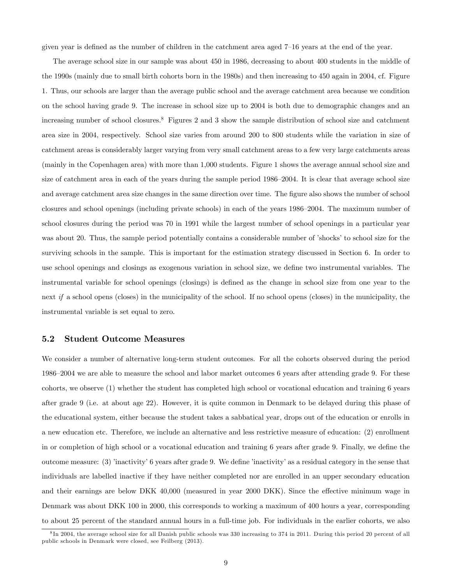given year is defined as the number of children in the catchment area aged  $7-16$  years at the end of the year.

The average school size in our sample was about 450 in 1986, decreasing to about 400 students in the middle of the 1990s (mainly due to small birth cohorts born in the 1980s) and then increasing to 450 again in 2004, cf. Figure 1. Thus, our schools are larger than the average public school and the average catchment area because we condition on the school having grade 9. The increase in school size up to 2004 is both due to demographic changes and an increasing number of school closures.<sup>8</sup> Figures 2 and 3 show the sample distribution of school size and catchment area size in 2004, respectively. School size varies from around 200 to 800 students while the variation in size of catchment areas is considerably larger varying from very small catchment areas to a few very large catchments areas (mainly in the Copenhagen area) with more than 1,000 students. Figure 1 shows the average annual school size and size of catchment area in each of the years during the sample period 1986–2004. It is clear that average school size and average catchment area size changes in the same direction over time. The figure also shows the number of school closures and school openings (including private schools) in each of the years 1986–2004. The maximum number of school closures during the period was 70 in 1991 while the largest number of school openings in a particular year was about 20. Thus, the sample period potentially contains a considerable number of 'shocks' to school size for the surviving schools in the sample. This is important for the estimation strategy discussed in Section 6. In order to use school openings and closings as exogenous variation in school size, we define two instrumental variables. The instrumental variable for school openings (closings) is defined as the change in school size from one year to the next if a school opens (closes) in the municipality of the school. If no school opens (closes) in the municipality, the instrumental variable is set equal to zero.

#### 5.2 Student Outcome Measures

We consider a number of alternative long-term student outcomes. For all the cohorts observed during the period 1986–2004 we are able to measure the school and labor market outcomes 6 years after attending grade 9. For these cohorts, we observe (1) whether the student has completed high school or vocational education and training 6 years after grade 9 (i.e. at about age 22). However, it is quite common in Denmark to be delayed during this phase of the educational system, either because the student takes a sabbatical year, drops out of the education or enrolls in a new education etc. Therefore, we include an alternative and less restrictive measure of education: (2) enrollment in or completion of high school or a vocational education and training 6 years after grade 9. Finally, we define the outcome measure:  $(3)$  'inactivity' 6 years after grade 9. We define 'inactivity' as a residual category in the sense that individuals are labelled inactive if they have neither completed nor are enrolled in an upper secondary education and their earnings are below DKK 40,000 (measured in year 2000 DKK). Since the effective minimum wage in Denmark was about DKK 100 in 2000, this corresponds to working a maximum of 400 hours a year, corresponding to about 25 percent of the standard annual hours in a full-time job. For individuals in the earlier cohorts, we also

<sup>&</sup>lt;sup>8</sup>In 2004, the average school size for all Danish public schools was 330 increasing to 374 in 2011. During this period 20 percent of all public schools in Denmark were closed, see Feilberg (2013).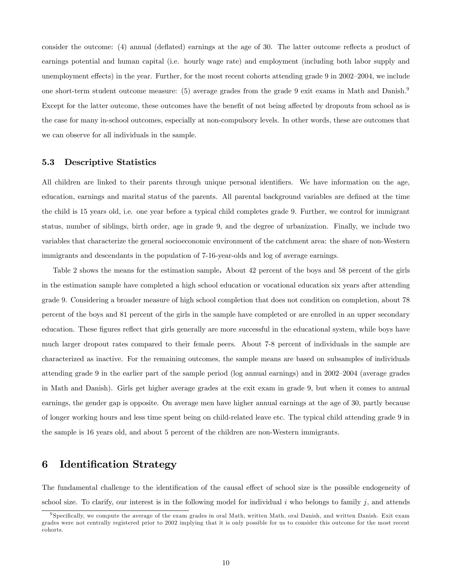consider the outcome: (4) annual (deflated) earnings at the age of 30. The latter outcome reflects a product of earnings potential and human capital (i.e. hourly wage rate) and employment (including both labor supply and unemployment effects) in the year. Further, for the most recent cohorts attending grade 9 in  $2002-2004$ , we include one short-term student outcome measure: (5) average grades from the grade 9 exit exams in Math and Danish.<sup>9</sup> Except for the latter outcome, these outcomes have the benefit of not being affected by dropouts from school as is the case for many in-school outcomes, especially at non-compulsory levels. In other words, these are outcomes that we can observe for all individuals in the sample.

#### 5.3 Descriptive Statistics

All children are linked to their parents through unique personal identifiers. We have information on the age, education, earnings and marital status of the parents. All parental background variables are defined at the time the child is 15 years old, i.e. one year before a typical child completes grade 9. Further, we control for immigrant status, number of siblings, birth order, age in grade 9, and the degree of urbanization. Finally, we include two variables that characterize the general socioeconomic environment of the catchment area: the share of non-Western immigrants and descendants in the population of 7-16-year-olds and log of average earnings.

Table 2 shows the means for the estimation sample. About 42 percent of the boys and 58 percent of the girls in the estimation sample have completed a high school education or vocational education six years after attending grade 9. Considering a broader measure of high school completion that does not condition on completion, about 78 percent of the boys and 81 percent of the girls in the sample have completed or are enrolled in an upper secondary education. These figures reflect that girls generally are more successful in the educational system, while boys have much larger dropout rates compared to their female peers. About 7-8 percent of individuals in the sample are characterized as inactive. For the remaining outcomes, the sample means are based on subsamples of individuals attending grade 9 in the earlier part of the sample period (log annual earnings) and in 2002–2004 (average grades in Math and Danish). Girls get higher average grades at the exit exam in grade 9, but when it comes to annual earnings, the gender gap is opposite. On average men have higher annual earnings at the age of 30, partly because of longer working hours and less time spent being on child-related leave etc. The typical child attending grade 9 in the sample is 16 years old, and about 5 percent of the children are non-Western immigrants.

### 6 Identification Strategy

The fundamental challenge to the identification of the causal effect of school size is the possible endogeneity of school size. To clarify, our interest is in the following model for individual i who belongs to family j, and attends

<sup>&</sup>lt;sup>9</sup> Specifically, we compute the average of the exam grades in oral Math, written Math, oral Danish, and written Danish. Exit exam grades were not centrally registered prior to 2002 implying that it is only possible for us to consider this outcome for the most recent cohorts.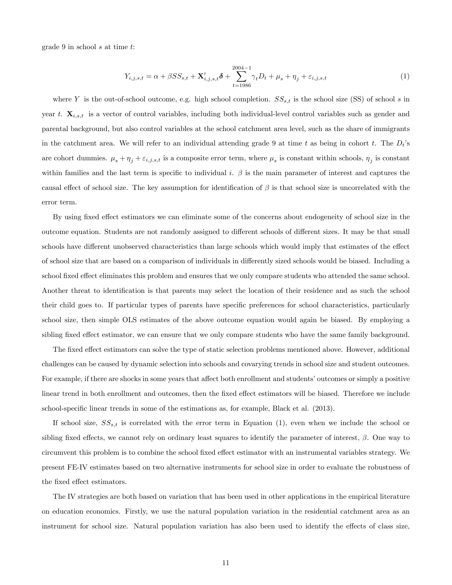grade 9 in school s at time t:

$$
Y_{i,j,s,t} = \alpha + \beta S S_{s,t} + \mathbf{X}'_{i,j,s,t} \delta + \sum_{t=1986}^{2004-1} \gamma_t D_t + \mu_s + \eta_j + \varepsilon_{i,j,s,t}
$$
(1)

where Y is the out-of-school outcome, e.g. high school completion.  $SS_{s,t}$  is the school size (SS) of school s in year t.  $\mathbf{X}_{i,s,t}$  is a vector of control variables, including both individual-level control variables such as gender and parental background, but also control variables at the school catchment area level, such as the share of immigrants in the catchment area. We will refer to an individual attending grade 9 at time t as being in cohort t. The  $D_t$ 's are cohort dummies.  $\mu_s + \eta_j + \varepsilon_{i,j,s,t}$  is a composite error term, where  $\mu_s$  is constant within schools,  $\eta_j$  is constant within families and the last term is specific to individual i.  $\beta$  is the main parameter of interest and captures the causal effect of school size. The key assumption for identification of  $\beta$  is that school size is uncorrelated with the error term.

By using fixed effect estimators we can eliminate some of the concerns about endogeneity of school size in the outcome equation. Students are not randomly assigned to different schools of different sizes. It may be that small schools have different unobserved characteristics than large schools which would imply that estimates of the effect of school size that are based on a comparison of individuals in differently sized schools would be biased. Including a school fixed effect eliminates this problem and ensures that we only compare students who attended the same school. Another threat to identification is that parents may select the location of their residence and as such the school their child goes to. If particular types of parents have specific preferences for school characteristics, particularly school size, then simple OLS estimates of the above outcome equation would again be biased. By employing a sibling fixed effect estimator, we can ensure that we only compare students who have the same family background.

The fixed effect estimators can solve the type of static selection problems mentioned above. However, additional challenges can be caused by dynamic selection into schools and covarying trends in school size and student outcomes. For example, if there are shocks in some years that affect both enrollment and students' outcomes or simply a positive linear trend in both enrollment and outcomes, then the fixed effect estimators will be biased. Therefore we include school-specific linear trends in some of the estimations as, for example, Black et al. (2013).

If school size,  $SS_{s,t}$  is correlated with the error term in Equation (1), even when we include the school or sibling fixed effects, we cannot rely on ordinary least squares to identify the parameter of interest,  $\beta$ . One way to circumvent this problem is to combine the school fixed effect estimator with an instrumental variables strategy. We present FE-IV estimates based on two alternative instruments for school size in order to evaluate the robustness of the fixed effect estimators.

The IV strategies are both based on variation that has been used in other applications in the empirical literature on education economics. Firstly, we use the natural population variation in the residential catchment area as an instrument for school size. Natural population variation has also been used to identify the effects of class size,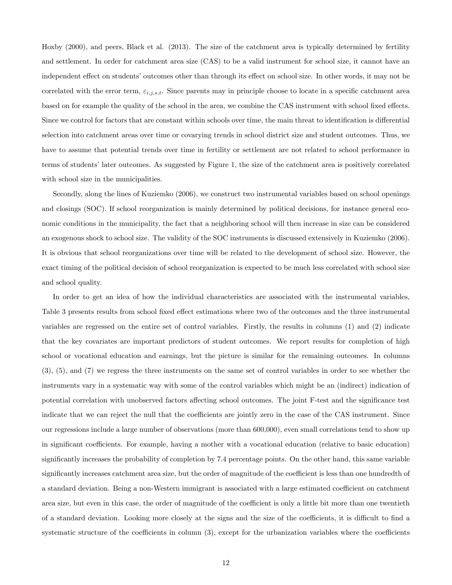Hoxby (2000), and peers, Black et al. (2013). The size of the catchment area is typically determined by fertility and settlement. In order for catchment area size (CAS) to be a valid instrument for school size, it cannot have an independent effect on students' outcomes other than through its effect on school size. In other words, it may not be correlated with the error term,  $\varepsilon_{i,j,s,t}$ . Since parents may in principle choose to locate in a specific catchment area based on for example the quality of the school in the area, we combine the CAS instrument with school fixed effects. Since we control for factors that are constant within schools over time, the main threat to identification is differential selection into catchment areas over time or covarying trends in school district size and student outcomes. Thus, we have to assume that potential trends over time in fertility or settlement are not related to school performance in terms of studentsílater outcomes. As suggested by Figure 1, the size of the catchment area is positively correlated with school size in the municipalities.

Secondly, along the lines of Kuziemko (2006), we construct two instrumental variables based on school openings and closings (SOC). If school reorganization is mainly determined by political decisions, for instance general economic conditions in the municipality, the fact that a neighboring school will then increase in size can be considered an exogenous shock to school size. The validity of the SOC instruments is discussed extensively in Kuziemko (2006). It is obvious that school reorganizations over time will be related to the development of school size. However, the exact timing of the political decision of school reorganization is expected to be much less correlated with school size and school quality.

In order to get an idea of how the individual characteristics are associated with the instrumental variables, Table 3 presents results from school fixed effect estimations where two of the outcomes and the three instrumental variables are regressed on the entire set of control variables. Firstly, the results in columns (1) and (2) indicate that the key covariates are important predictors of student outcomes. We report results for completion of high school or vocational education and earnings, but the picture is similar for the remaining outcomes. In columns (3), (5), and (7) we regress the three instruments on the same set of control variables in order to see whether the instruments vary in a systematic way with some of the control variables which might be an (indirect) indication of potential correlation with unobserved factors affecting school outcomes. The joint F-test and the significance test indicate that we can reject the null that the coefficients are jointly zero in the case of the CAS instrument. Since our regressions include a large number of observations (more than 600,000), even small correlations tend to show up in significant coefficients. For example, having a mother with a vocational education (relative to basic education) significantly increases the probability of completion by 7.4 percentage points. On the other hand, this same variable significantly increases catchment area size, but the order of magnitude of the coefficient is less than one hundredth of a standard deviation. Being a non-Western immigrant is associated with a large estimated coefficient on catchment area size, but even in this case, the order of magnitude of the coefficient is only a little bit more than one twentieth of a standard deviation. Looking more closely at the signs and the size of the coefficients, it is difficult to find a systematic structure of the coefficients in column  $(3)$ , except for the urbanization variables where the coefficients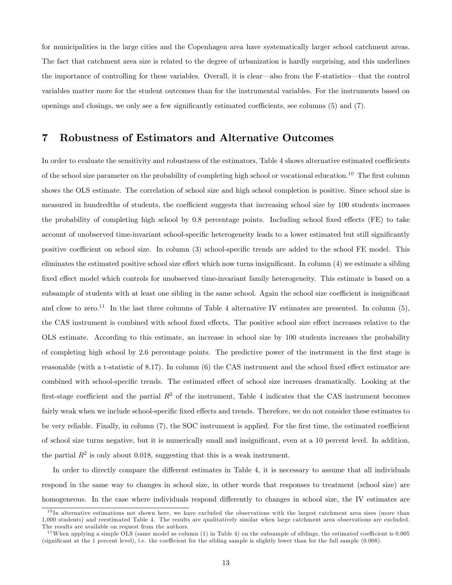for municipalities in the large cities and the Copenhagen area have systematically larger school catchment areas. The fact that catchment area size is related to the degree of urbanization is hardly surprising, and this underlines the importance of controlling for these variables. Overall, it is clear—also from the F-statistics—that the control variables matter more for the student outcomes than for the instrumental variables. For the instruments based on openings and closings, we only see a few significantly estimated coefficients, see columns  $(5)$  and  $(7)$ .

### 7 Robustness of Estimators and Alternative Outcomes

In order to evaluate the sensitivity and robustness of the estimators, Table 4 shows alternative estimated coefficients of the school size parameter on the probability of completing high school or vocational education.<sup>10</sup> The first column shows the OLS estimate. The correlation of school size and high school completion is positive. Since school size is measured in hundredths of students, the coefficient suggests that increasing school size by 100 students increases the probability of completing high school by 0.8 percentage points. Including school fixed effects (FE) to take account of unobserved time-invariant school-specific heterogeneity leads to a lower estimated but still significantly positive coefficient on school size. In column (3) school-specific trends are added to the school FE model. This eliminates the estimated positive school size effect which now turns insignificant. In column  $(4)$  we estimate a sibling fixed effect model which controls for unobserved time-invariant family heterogeneity. This estimate is based on a subsample of students with at least one sibling in the same school. Again the school size coefficient is insignificant and close to zero.<sup>11</sup> In the last three columns of Table 4 alternative IV estimates are presented. In column (5), the CAS instrument is combined with school fixed effects. The positive school size effect increases relative to the OLS estimate. According to this estimate, an increase in school size by 100 students increases the probability of completing high school by 2.6 percentage points. The predictive power of the instrument in the Örst stage is reasonable (with a t-statistic of 8.17). In column  $(6)$  the CAS instrument and the school fixed effect estimator are combined with school-specific trends. The estimated effect of school size increases dramatically. Looking at the first-stage coefficient and the partial  $R^2$  of the instrument, Table 4 indicates that the CAS instrument becomes fairly weak when we include school-specific fixed effects and trends. Therefore, we do not consider these estimates to be very reliable. Finally, in column (7), the SOC instrument is applied. For the first time, the estimated coefficient of school size turns negative, but it is numerically small and insigniÖcant, even at a 10 percent level. In addition, the partial  $R^2$  is only about 0.018, suggesting that this is a weak instrument.

In order to directly compare the different estimates in Table 4, it is necessary to assume that all individuals respond in the same way to changes in school size, in other words that responses to treatment (school size) are homogeneous. In the case where individuals respond differently to changes in school size, the IV estimates are

 $10$ In alternative estimations not shown here, we have excluded the observations with the largest catchment area sizes (more than 1,000 students) and reestimated Table 4. The results are qualitatively similar when large catchment area observations are excluded. The results are available on request from the authors.

 $11$ When applying a simple OLS (same model as column (1) in Table 4) on the subsample of siblings, the estimated coefficient is 0.005 (significant at the 1 percent level), i.e. the coefficient for the sibling sample is slightly lower than for the full sample (0.008).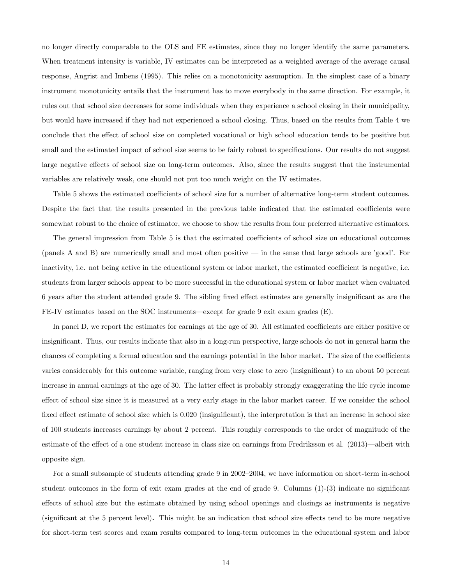no longer directly comparable to the OLS and FE estimates, since they no longer identify the same parameters. When treatment intensity is variable, IV estimates can be interpreted as a weighted average of the average causal response, Angrist and Imbens (1995). This relies on a monotonicity assumption. In the simplest case of a binary instrument monotonicity entails that the instrument has to move everybody in the same direction. For example, it rules out that school size decreases for some individuals when they experience a school closing in their municipality, but would have increased if they had not experienced a school closing. Thus, based on the results from Table 4 we conclude that the effect of school size on completed vocational or high school education tends to be positive but small and the estimated impact of school size seems to be fairly robust to specifications. Our results do not suggest large negative effects of school size on long-term outcomes. Also, since the results suggest that the instrumental variables are relatively weak, one should not put too much weight on the IV estimates.

Table 5 shows the estimated coefficients of school size for a number of alternative long-term student outcomes. Despite the fact that the results presented in the previous table indicated that the estimated coefficients were somewhat robust to the choice of estimator, we choose to show the results from four preferred alternative estimators.

The general impression from Table 5 is that the estimated coefficients of school size on educational outcomes (panels A and B) are numerically small and most often positive  $\overline{a}$  in the sense that large schools are *good*. For inactivity, i.e. not being active in the educational system or labor market, the estimated coefficient is negative, i.e. students from larger schools appear to be more successful in the educational system or labor market when evaluated 6 years after the student attended grade 9. The sibling fixed effect estimates are generally insignificant as are the  $FE-IV$  estimates based on the SOC instruments—except for grade 9 exit exam grades  $(E)$ .

In panel D, we report the estimates for earnings at the age of 30. All estimated coefficients are either positive or insignificant. Thus, our results indicate that also in a long-run perspective, large schools do not in general harm the chances of completing a formal education and the earnings potential in the labor market. The size of the coefficients varies considerably for this outcome variable, ranging from very close to zero (insignificant) to an about 50 percent increase in annual earnings at the age of 30. The latter effect is probably strongly exaggerating the life cycle income effect of school size since it is measured at a very early stage in the labor market career. If we consider the school fixed effect estimate of school size which is 0.020 (insignificant), the interpretation is that an increase in school size of 100 students increases earnings by about 2 percent. This roughly corresponds to the order of magnitude of the estimate of the effect of a one student increase in class size on earnings from Fredriksson et al.  $(2013)$ —albeit with opposite sign.

For a small subsample of students attending grade 9 in  $2002-2004$ , we have information on short-term in-school student outcomes in the form of exit exam grades at the end of grade 9. Columns  $(1)-(3)$  indicate no significant effects of school size but the estimate obtained by using school openings and closings as instruments is negative (significant at the 5 percent level). This might be an indication that school size effects tend to be more negative for short-term test scores and exam results compared to long-term outcomes in the educational system and labor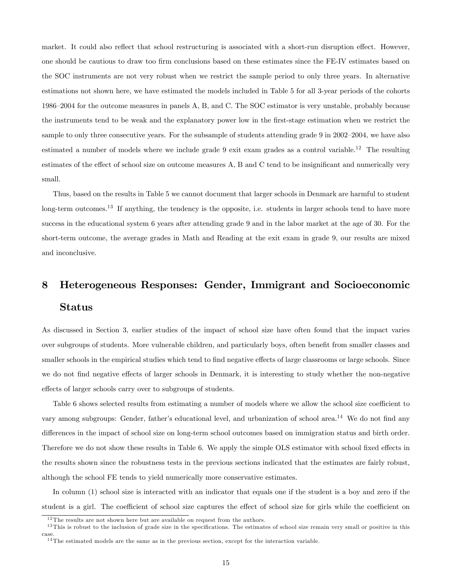market. It could also reflect that school restructuring is associated with a short-run disruption effect. However, one should be cautious to draw too Örm conclusions based on these estimates since the FE-IV estimates based on the SOC instruments are not very robust when we restrict the sample period to only three years. In alternative estimations not shown here, we have estimated the models included in Table 5 for all 3-year periods of the cohorts 1986–2004 for the outcome measures in panels A, B, and C. The SOC estimator is very unstable, probably because the instruments tend to be weak and the explanatory power low in the Örst-stage estimation when we restrict the sample to only three consecutive years. For the subsample of students attending grade 9 in  $2002-2004$ , we have also estimated a number of models where we include grade 9 exit exam grades as a control variable.<sup>12</sup> The resulting estimates of the effect of school size on outcome measures A, B and C tend to be insignificant and numerically very small.

Thus, based on the results in Table 5 we cannot document that larger schools in Denmark are harmful to student long-term outcomes.<sup>13</sup> If anything, the tendency is the opposite, i.e. students in larger schools tend to have more success in the educational system 6 years after attending grade 9 and in the labor market at the age of 30. For the short-term outcome, the average grades in Math and Reading at the exit exam in grade 9, our results are mixed and inconclusive.

## 8 Heterogeneous Responses: Gender, Immigrant and Socioeconomic Status

As discussed in Section 3, earlier studies of the impact of school size have often found that the impact varies over subgroups of students. More vulnerable children, and particularly boys, often benefit from smaller classes and smaller schools in the empirical studies which tend to find negative effects of large classrooms or large schools. Since we do not find negative effects of larger schools in Denmark, it is interesting to study whether the non-negative effects of larger schools carry over to subgroups of students.

Table 6 shows selected results from estimating a number of models where we allow the school size coefficient to vary among subgroups: Gender, father's educational level, and urbanization of school area.<sup>14</sup> We do not find any differences in the impact of school size on long-term school outcomes based on immigration status and birth order. Therefore we do not show these results in Table 6. We apply the simple OLS estimator with school fixed effects in the results shown since the robustness tests in the previous sections indicated that the estimates are fairly robust, although the school FE tends to yield numerically more conservative estimates.

In column (1) school size is interacted with an indicator that equals one if the student is a boy and zero if the student is a girl. The coefficient of school size captures the effect of school size for girls while the coefficient on

 $12$ The results are not shown here but are available on request from the authors.

 $13$  This is robust to the inclusion of grade size in the specifications. The estimates of school size remain very small or positive in this case.

<sup>&</sup>lt;sup>14</sup>The estimated models are the same as in the previous section, except for the interaction variable.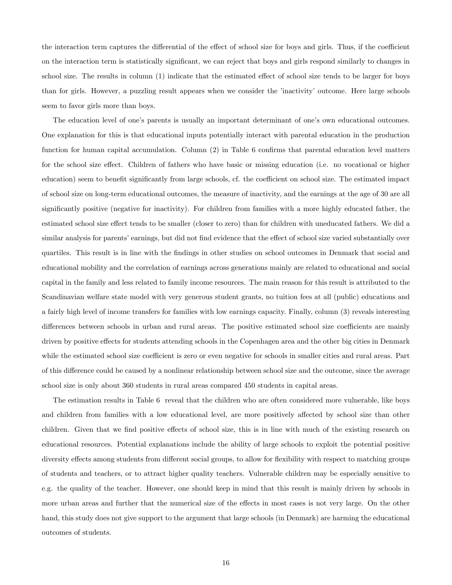the interaction term captures the differential of the effect of school size for boys and girls. Thus, if the coefficient on the interaction term is statistically significant, we can reject that boys and girls respond similarly to changes in school size. The results in column  $(1)$  indicate that the estimated effect of school size tends to be larger for boys than for girls. However, a puzzling result appears when we consider the 'inactivity' outcome. Here large schools seem to favor girls more than boys.

The education level of one's parents is usually an important determinant of one's own educational outcomes. One explanation for this is that educational inputs potentially interact with parental education in the production function for human capital accumulation. Column  $(2)$  in Table 6 confirms that parental education level matters for the school size effect. Children of fathers who have basic or missing education (i.e. no vocational or higher education) seem to benefit significantly from large schools, cf. the coefficient on school size. The estimated impact of school size on long-term educational outcomes, the measure of inactivity, and the earnings at the age of 30 are all significantly positive (negative for inactivity). For children from families with a more highly educated father, the estimated school size effect tends to be smaller (closer to zero) than for children with uneducated fathers. We did a similar analysis for parents' earnings, but did not find evidence that the effect of school size varied substantially over quartiles. This result is in line with the Öndings in other studies on school outcomes in Denmark that social and educational mobility and the correlation of earnings across generations mainly are related to educational and social capital in the family and less related to family income resources. The main reason for this result is attributed to the Scandinavian welfare state model with very generous student grants, no tuition fees at all (public) educations and a fairly high level of income transfers for families with low earnings capacity. Finally, column (3) reveals interesting differences between schools in urban and rural areas. The positive estimated school size coefficients are mainly driven by positive effects for students attending schools in the Copenhagen area and the other big cities in Denmark while the estimated school size coefficient is zero or even negative for schools in smaller cities and rural areas. Part of this difference could be caused by a nonlinear relationship between school size and the outcome, since the average school size is only about 360 students in rural areas compared 450 students in capital areas.

The estimation results in Table 6 reveal that the children who are often considered more vulnerable, like boys and children from families with a low educational level, are more positively affected by school size than other children. Given that we find positive effects of school size, this is in line with much of the existing research on educational resources. Potential explanations include the ability of large schools to exploit the potential positive diversity effects among students from different social groups, to allow for flexibility with respect to matching groups of students and teachers, or to attract higher quality teachers. Vulnerable children may be especially sensitive to e.g. the quality of the teacher. However, one should keep in mind that this result is mainly driven by schools in more urban areas and further that the numerical size of the effects in most cases is not very large. On the other hand, this study does not give support to the argument that large schools (in Denmark) are harming the educational outcomes of students.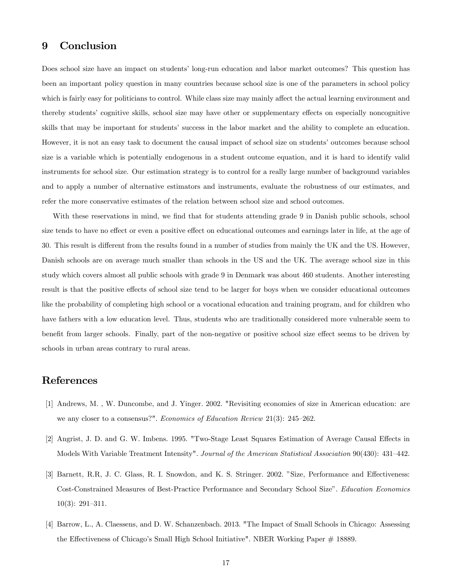## 9 Conclusion

Does school size have an impact on students' long-run education and labor market outcomes? This question has been an important policy question in many countries because school size is one of the parameters in school policy which is fairly easy for politicians to control. While class size may mainly affect the actual learning environment and thereby students' cognitive skills, school size may have other or supplementary effects on especially noncognitive skills that may be important for studentsí success in the labor market and the ability to complete an education. However, it is not an easy task to document the causal impact of school size on students' outcomes because school size is a variable which is potentially endogenous in a student outcome equation, and it is hard to identify valid instruments for school size. Our estimation strategy is to control for a really large number of background variables and to apply a number of alternative estimators and instruments, evaluate the robustness of our estimates, and refer the more conservative estimates of the relation between school size and school outcomes.

With these reservations in mind, we find that for students attending grade 9 in Danish public schools, school size tends to have no effect or even a positive effect on educational outcomes and earnings later in life, at the age of 30. This result is different from the results found in a number of studies from mainly the UK and the US. However, Danish schools are on average much smaller than schools in the US and the UK. The average school size in this study which covers almost all public schools with grade 9 in Denmark was about 460 students. Another interesting result is that the positive effects of school size tend to be larger for boys when we consider educational outcomes like the probability of completing high school or a vocational education and training program, and for children who have fathers with a low education level. Thus, students who are traditionally considered more vulnerable seem to benefit from larger schools. Finally, part of the non-negative or positive school size effect seems to be driven by schools in urban areas contrary to rural areas.

## References

- [1] Andrews, M. , W. Duncombe, and J. Yinger. 2002. "Revisiting economies of size in American education: are we any closer to a consensus?". Economics of Education Review  $21(3)$ :  $245-262$ .
- [2] Angrist, J. D. and G. W. Imbens. 1995. "Two-Stage Least Squares Estimation of Average Causal Effects in Models With Variable Treatment Intensity". Journal of the American Statistical Association 90(430): 431-442.
- [3] Barnett, R.R, J. C. Glass, R. I. Snowdon, and K. S. Stringer. 2002. "Size, Performance and Effectiveness: Cost-Constrained Measures of Best-Practice Performance and Secondary School Size". Education Economics  $10(3)$ : 291-311.
- [4] Barrow, L., A. Claessens, and D. W. Schanzenbach. 2013. "The Impact of Small Schools in Chicago: Assessing the Effectiveness of Chicago's Small High School Initiative". NBER Working Paper # 18889.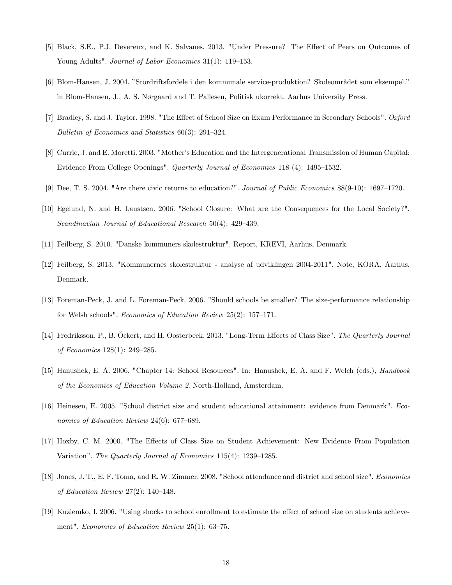- [5] Black, S.E., P.J. Devereux, and K. Salvanes. 2013. "Under Pressure? The Effect of Peers on Outcomes of Young Adults". Journal of Labor Economics 31(1): 119-153.
- [6] Blom-Hansen, J. 2004. "Stordriftsfordele i den kommunale service-produktion? Skoleområdet som eksempel." in Blom-Hansen, J., A. S. Nørgaard and T. Pallesen, Politisk ukorrekt. Aarhus University Press.
- [7] Bradley, S. and J. Taylor. 1998. "The Effect of School Size on Exam Performance in Secondary Schools". Oxford Bulletin of Economics and Statistics  $60(3)$ : 291–324.
- [8] Currie, J. and E. Moretti. 2003. "Motherís Education and the Intergenerational Transmission of Human Capital: Evidence From College Openings". Quarterly Journal of Economics 118 (4): 1495–1532.
- [9] Dee, T. S. 2004. "Are there civic returns to education?". Journal of Public Economics  $88(9-10)$ : 1697–1720.
- [10] Egelund, N. and H. Laustsen. 2006. "School Closure: What are the Consequences for the Local Society?". Scandinavian Journal of Educational Research  $50(4)$ : 429–439.
- [11] Feilberg, S. 2010. "Danske kommuners skolestruktur". Report, KREVI, Aarhus, Denmark.
- [12] Feilberg, S. 2013. "Kommunernes skolestruktur analyse af udviklingen 2004-2011". Note, KORA, Aarhus, Denmark.
- [13] Foreman-Peck, J. and L. Foreman-Peck. 2006. "Should schools be smaller? The size-performance relationship for Welsh schools". *Economics of Education Review* 25(2):  $157-171$ .
- [14] Fredriksson, P., B. Öckert, and H. Oosterbeek. 2013. "Long-Term Effects of Class Size". The Quarterly Journal of Economics  $128(1)$ :  $249-285$ .
- [15] Hanushek, E. A. 2006. "Chapter 14: School Resources". In: Hanushek, E. A. and F. Welch (eds.), Handbook of the Economics of Education Volume 2. North-Holland, Amsterdam.
- [16] Heinesen, E. 2005. "School district size and student educational attainment: evidence from Denmark". Economics of Education Review 24(6): 677–689.
- [17] Hoxby, C. M. 2000. "The Effects of Class Size on Student Achievement: New Evidence From Population Variation". The Quarterly Journal of Economics  $115(4)$ :  $1239-1285$ .
- [18] Jones, J. T., E. F. Toma, and R. W. Zimmer. 2008. "School attendance and district and school size". Economics of Education Review 27(2):  $140-148$ .
- [19] Kuziemko, I. 2006. "Using shocks to school enrollment to estimate the effect of school size on students achievement". Economics of Education Review  $25(1)$ : 63–75.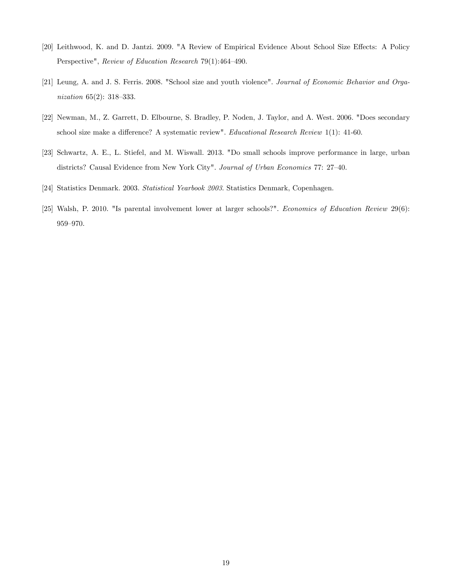- [20] Leithwood, K. and D. Jantzi. 2009. "A Review of Empirical Evidence About School Size Effects: A Policy Perspective", Review of Education Research 79(1):464-490.
- [21] Leung, A. and J. S. Ferris. 2008. "School size and youth violence". Journal of Economic Behavior and Organization  $65(2)$ : 318-333.
- [22] Newman, M., Z. Garrett, D. Elbourne, S. Bradley, P. Noden, J. Taylor, and A. West. 2006. "Does secondary school size make a difference? A systematic review". Educational Research Review 1(1): 41-60.
- [23] Schwartz, A. E., L. Stiefel, and M. Wiswall. 2013. "Do small schools improve performance in large, urban districts? Causal Evidence from New York City". Journal of Urban Economics 77: 27-40.
- [24] Statistics Denmark. 2003. Statistical Yearbook 2003. Statistics Denmark, Copenhagen.
- [25] Walsh, P. 2010. "Is parental involvement lower at larger schools?". Economics of Education Review 29(6): 959-970.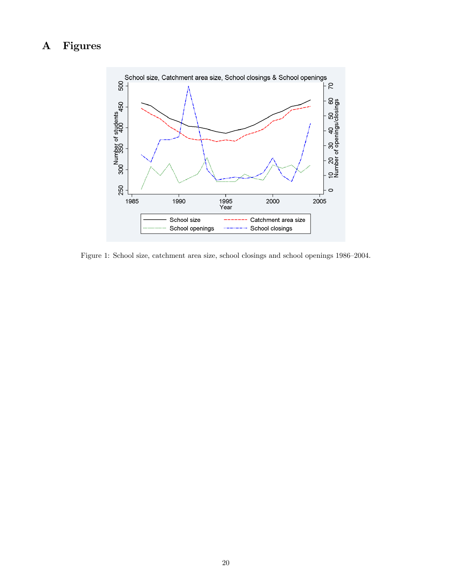## A Figures



Figure 1: School size, catchment area size, school closings and school openings 1986–2004.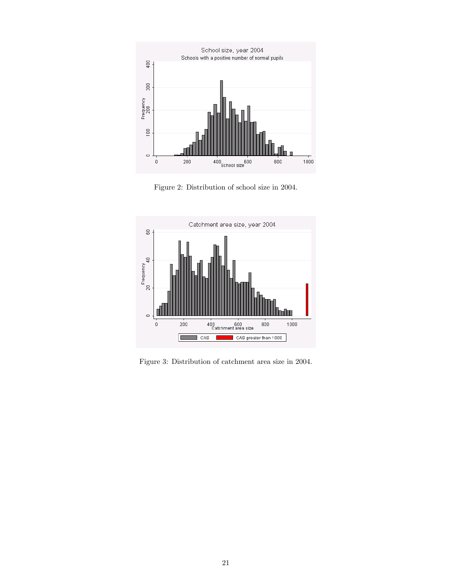

Figure 2: Distribution of school size in 2004.



Figure 3: Distribution of catchment area size in 2004.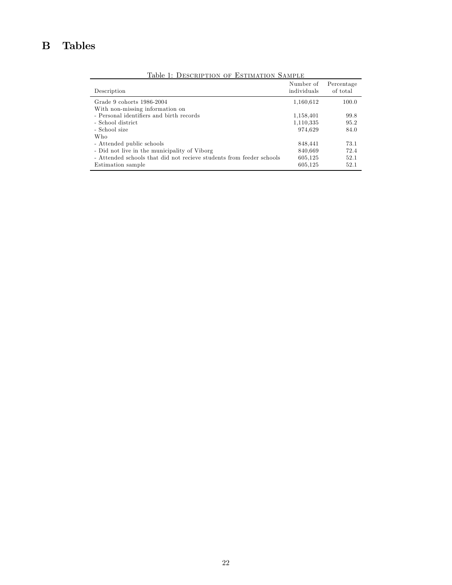## B Tables

| Description                                                                               | Number of<br>individuals | Percentage<br>of total |
|-------------------------------------------------------------------------------------------|--------------------------|------------------------|
| Grade 9 cohorts 1986-2004<br>With non-missing information on                              | 1,160,612                | 100.0                  |
| - Personal identifiers and birth records                                                  | 1,158,401                | 99.8                   |
| - School district<br>- School size                                                        | 1,110,335<br>974,629     | 95.2<br>84.0           |
| Who<br>- Attended public schools                                                          | 848,441                  | 73.1                   |
| - Did not live in the municipality of Viborg                                              | 840,669                  | 72.4                   |
| - Attended schools that did not recieve students from feeder schools<br>Estimation sample | 605,125<br>605,125       | 52.1<br>52.1           |

Table 1: DESCRIPTION OF ESTIMATION SAMPLE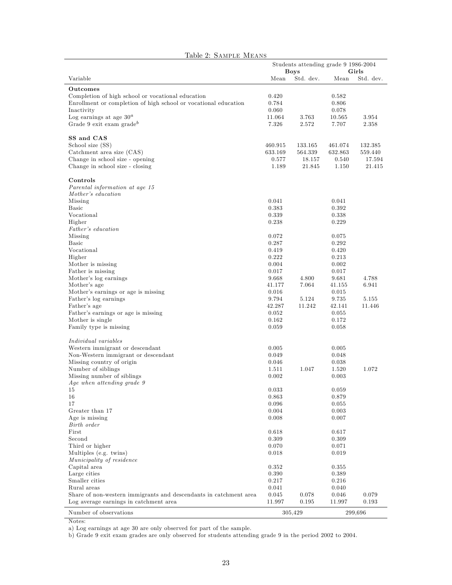| Table 2: SAMPLE MEANS                                                                                                                                                                                                               |                                                    |                                                     |                                                    |                                        |
|-------------------------------------------------------------------------------------------------------------------------------------------------------------------------------------------------------------------------------------|----------------------------------------------------|-----------------------------------------------------|----------------------------------------------------|----------------------------------------|
|                                                                                                                                                                                                                                     |                                                    | Students attending grade 9 1986-2004<br><b>Boys</b> |                                                    | Girls                                  |
| Variable                                                                                                                                                                                                                            | Mean                                               | Std. dev.                                           | Mean                                               | Std. dev.                              |
| Outcomes<br>Completion of high school or vocational education<br>Enrollment or completion of high school or vocational education<br>Inactivity<br>Log earnings at age $30^a\,$<br>Grade 9 exit exam grade <sup>b</sup>              | 0.420<br>0.784<br>0.060<br>11.064<br>7.326         | 3.763<br>2.572                                      | 0.582<br>0.806<br>0.078<br>10.565<br>7.707         | 3.954<br>2.358                         |
| SS and CAS<br>School size (SS)<br>Catchment area size (CAS)<br>Change in school size - opening<br>Change in school size - closing                                                                                                   | 460.915<br>633.169<br>0.577<br>1.189               | 133.165<br>564.339<br>18.157<br>21.845              | 461.074<br>632.863<br>0.540<br>1.150               | 132.385<br>559.440<br>17.594<br>21.415 |
| Controls<br>Parental information at age 15<br>Mother's education<br>Missing<br><b>Basic</b><br>Vocational                                                                                                                           | 0.041<br>0.383<br>0.339                            |                                                     | 0.041<br>0.392<br>0.338                            |                                        |
| Higher<br>Father's education<br>Missing<br><b>Basic</b><br>Vocational<br>Higher                                                                                                                                                     | 0.238<br>0.072<br>0.287<br>0.419<br>0.222          |                                                     | 0.229<br>0.075<br>0.292<br>0.420<br>0.213          |                                        |
| Mother is missing<br>Father is missing<br>Mother's log earnings<br>Mother's age<br>Mother's earnings or age is missing                                                                                                              | 0.004<br>0.017<br>9.668<br>41.177<br>0.016         | 4.800<br>7.064                                      | 0.002<br>0.017<br>9.681<br>41.155<br>0.015         | 4.788<br>6.941                         |
| Father's log earnings<br>Father's age<br>Father's earnings or age is missing<br>Mother is single<br>Family type is missing                                                                                                          | 9.794<br>42.287<br>0.052<br>0.162<br>0.059         | 5.124<br>11.242                                     | 9.735<br>42.141<br>0.055<br>0.172<br>0.058         | 5.155<br>11.446                        |
| Individual variables<br>Western immigrant or descendant<br>Non-Western immigrant or descendant<br>Missing country of origin<br>Number of siblings<br>Missing number of siblings<br>$\label{eq:4} \emph{Age when attending grade 9}$ | 0.005<br>0.049<br>0.046<br>1.511<br>0.002          | 1.047                                               | 0.005<br>0.048<br>0.038<br>1.520<br>0.003          | 1.072                                  |
| 15<br>16<br>17<br>Greater than 17<br>Age is missing<br>Birth order                                                                                                                                                                  | 0.033<br>0.863<br>0.096<br>0.004<br>0.008          |                                                     | 0.059<br>0.879<br>0.055<br>0.003<br>0.007          |                                        |
| First<br>Second<br>Third or higher<br>Multiples (e.g. twins)<br>Municipality of residence<br>Capital area<br>Large cities                                                                                                           | 0.618<br>0.309<br>0.070<br>0.018<br>0.352<br>0.390 |                                                     | 0.617<br>0.309<br>0.071<br>0.019<br>0.355<br>0.389 |                                        |
| Smaller cities<br>Rural areas<br>Share of non-western immigrants and descendants in catchment area<br>Log average earnings in catchment area<br>Number of observations                                                              | 0.217<br>0.041<br>0.045<br>11.997                  | 0.078<br>0.195<br>305,429                           | 0.216<br>0.040<br>0.046<br>11.997                  | 0.079<br>0.193<br>299,696              |

#### Notes:

a) Log earnings at age 30 are only observed for part of the sample.

b) Grade 9 exit exam grades are only observed for students attending grade 9 in the period 2002 to 2004.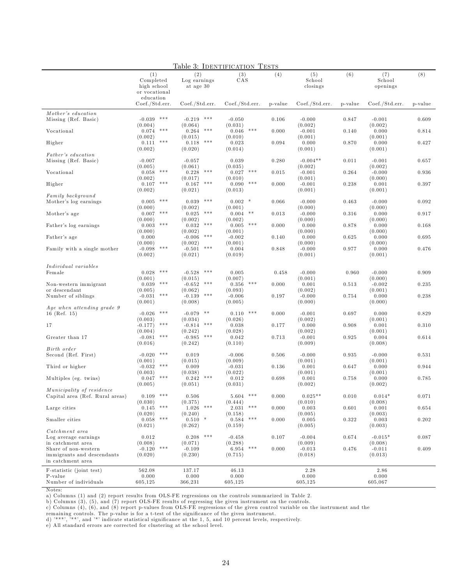| (1)<br>(2)<br>(4)<br>(5)<br>(6)<br>(7)<br>(8)<br>(3)<br>CAS<br>Completed<br>Log earnings<br>School<br>School<br>high school<br>at age 30<br>closings<br>openings<br>or vocational<br>education<br>Coef./Std.err.<br>Coef./Std.err.<br>Coef./Std.err.<br>Coef./Std.err.<br>Coef./Std.err.<br>p-value<br>p-value<br>p-value<br>Mother's education<br>***<br>***<br>$-0.039$<br>$-0.219$<br>$-0.000$<br>0.609<br>Missing (Ref. Basic)<br>$-0.050$<br>0.106<br>0.847<br>$-0.001$<br>(0.004)<br>(0.064)<br>(0.031)<br>(0.002)<br>(0.002)<br>0.074<br>***<br>***<br>***<br>0.264<br>$-0.001$<br>0.000<br>Vocational<br>0.046<br>0.000<br>0.140<br>0.814<br>(0.002)<br>(0.015)<br>(0.010)<br>(0.001)<br>(0.001)<br>$***$<br>***<br>0.111<br>0.118<br>0.000<br>Higher<br>0.023<br>0.094<br>0.000<br>0.870<br>0.427<br>(0.002)<br>(0.020)<br>(0.014)<br>(0.001)<br>(0.001)<br>Father's education<br>$-0.007$<br>0.039<br>$-0.004**$<br>Missing (Ref. Basic)<br>$-0.057$<br>0.280<br>0.011<br>$-0.001$<br>0.657<br>(0.005)<br>(0.061)<br>(0.035)<br>(0.002)<br>(0.002)<br>$***$<br>***<br>***<br>0.058<br>Vocational<br>0.228<br>0.027<br>0.015<br>$-0.001$<br>0.264<br>$-0.000$<br>0.936<br>(0.002)<br>(0.000)<br>(0.017)<br>(0.010)<br>(0.001)<br>***<br>***<br>***<br>0.107<br>0.167<br>0.090<br>$-0.001$<br>0.238<br>0.001<br>0.397<br>Higher<br>0.000<br>(0.002)<br>(0.021)<br>(0.013)<br>(0.001)<br>(0.001)<br>Family background<br>***<br>***<br>$0.002$ *<br>0.039<br>0.066<br>0.005<br>$-0.000$<br>0.463<br>$-0.000$<br>0.092<br>Mother's log earnings<br>(0.000)<br>(0.002)<br>(0.000)<br>(0.000)<br>(0.001)<br>$* * *$<br>***<br>$**$<br>0.007<br>Mother's age<br>0.025<br>0.004<br>0.013<br>$-0.000$<br>0.316<br>0.000<br>0.917<br>(0.000)<br>(0.002)<br>(0.002)<br>(0.000)<br>(0.000)<br>$***$<br>***<br>***<br>0.003<br>Father's log earnings<br>0.032<br>0.005<br>0.000<br>0.000<br>0.878<br>0.000<br>0.168<br>(0.000)<br>(0.002)<br>(0.001)<br>(0.000)<br>(0.000)<br>***<br>0.000<br>$-0.006$<br>Father's age<br>$-0.002$<br>0.140<br>0.000<br>0.625<br>0.000<br>0.695<br>(0.000)<br>(0.000)<br>(0.002)<br>(0.001)<br>(0.000)<br>$* * *$<br>***<br>$-0.098$<br>Family with a single mother<br>$-0.501$<br>0.004<br>0.848<br>$-0.000$<br>0.977<br>0.000<br>0.476<br>(0.002)<br>(0.021)<br>(0.019)<br>(0.001)<br>(0.001)<br>Individual variables<br>$\ast \ast \ast$<br>***<br>0.028<br>0.005<br>0.458<br>0.960<br>$-0.000$<br>Female<br>$-0.528$<br>$-0.000$<br>0.909<br>(0.000)<br>(0.001)<br>(0.007)<br>(0.001)<br>(0.015)<br>$* * *$<br>$* * *$<br>0.039<br>***<br>0.356<br>0.000<br>$-0.002$<br>0.235<br>Non-western immigrant<br>$-0.652$<br>0.001<br>0.513<br>or descendant<br>(0.005)<br>(0.062)<br>(0.093)<br>(0.002)<br>(0.001)<br>***<br>***<br>$-0.031$<br>$-0.139$<br>$-0.006$<br>$-0.000$<br>0.238<br>Number of siblings<br>0.197<br>0.754<br>0.000<br>(0.001)<br>(0.008)<br>(0.005)<br>(0.000)<br>(0.000)<br>Age when attending grade 9<br>***<br>$**$<br>***<br>$-0.026$<br>$-0.079$<br>0.110<br>0.000<br>0.697<br>16 (Ref. $15)$ )<br>$-0.001$<br>0.000<br>0.829<br>(0.003)<br>(0.034)<br>(0.026)<br>(0.002)<br>(0.001)<br>$***$<br>***<br>17<br>$-0.177)$<br>$-0.814$<br>0.038<br>0.177<br>0.000<br>0.908<br>0.001<br>0.310<br>(0.004)<br>(0.242)<br>(0.028)<br>(0.002)<br>(0.001)<br>$***$<br>***<br>$-0.081$<br>$-0.985$<br>0.713<br>$-0.001$<br>0.004<br>0.614<br>Greater than 17<br>0.042<br>0.925<br>(0.016)<br>(0.242)<br>(0.110)<br>(0.009)<br>(0.008)<br>Birth order<br>***<br>$-0.020$<br>0.506<br>0.935<br>Second (Ref. First)<br>0.019<br>$-0.006$<br>$-0.000$<br>$-0.000$<br>0.531<br>(0.001)<br>(0.015)<br>(0.009)<br>(0.001)<br>(0.001)<br>***<br>$-0.032$<br>0.009<br>0.000<br>Third or higher<br>$-0.031$<br>0.136<br>0.001<br>0.647<br>0.944<br>(0.003)<br>(0.038)<br>(0.022)<br>(0.001)<br>(0.001)<br>***<br>***<br>Multiples (eg. twins)<br>0.047<br>0.242<br>0.012<br>0.698<br>0.001<br>0.758<br>0.000<br>0.785<br>(0.005)<br>(0.051)<br>(0.031)<br>(0.002)<br>(0.002)<br>Municipality of residence<br>***<br>***<br>$0.025**$<br>$0.014*$<br>Capital area (Ref. Rural areas)<br>0.109<br>0.506<br>5.604<br>0.000<br>0.010<br>0.071<br>(0.030)<br>(0.375)<br>(0.444)<br>(0.010)<br>(0.008)<br>$* * *$<br>$* * *$<br>$***$<br>0.145<br>1.026<br>2.031<br>0.003<br>0.001<br>Large cities<br>0.000<br>0.601<br>0.654<br>(0.020)<br>(0.003)<br>(0.240)<br>(0.158)<br>(0.005)<br>$\ast\ast\ast$<br>$0.584$ ***<br>$0.510$ *<br>0.058<br>0.322<br>0.003<br>0.202<br>Smaller cities<br>0.000<br>0.005<br>(0.021)<br>(0.262)<br>(0.159)<br>(0.005)<br>(0.003)<br>Catchment area<br>$***$<br>$-0.015*$<br>Log average earnings<br>0.012<br>0.208<br>$-0.458$<br>0.107<br>$-0.004$<br>0.674<br>0.087<br>(0.008)<br>in catchment area<br>(0.008)<br>(0.071)<br>(0.288)<br>(0.009)<br>$***$<br>***<br>$-0.120$<br>$-0.109$<br>0.000<br>$-0.011$<br>0.409<br>Share of non-western<br>6.954<br>$-0.013$<br>0.476<br>immigrants and descendants<br>(0.020)<br>(0.230)<br>(0.715)<br>(0.018)<br>(0.013)<br>in catchment area<br>F-statistic (joint test)<br>562.08<br>137.17<br>46.13<br>2.28<br>2.86<br>0.000<br>P-value<br>0.000<br>0.000<br>0.000<br>0.000<br>Number of individuals<br>605,125<br>366,231<br>605,125<br>605,125<br>605,067 |  | Lable 3: IDENTIFICATION | 'T ESTS |  |  |
|-------------------------------------------------------------------------------------------------------------------------------------------------------------------------------------------------------------------------------------------------------------------------------------------------------------------------------------------------------------------------------------------------------------------------------------------------------------------------------------------------------------------------------------------------------------------------------------------------------------------------------------------------------------------------------------------------------------------------------------------------------------------------------------------------------------------------------------------------------------------------------------------------------------------------------------------------------------------------------------------------------------------------------------------------------------------------------------------------------------------------------------------------------------------------------------------------------------------------------------------------------------------------------------------------------------------------------------------------------------------------------------------------------------------------------------------------------------------------------------------------------------------------------------------------------------------------------------------------------------------------------------------------------------------------------------------------------------------------------------------------------------------------------------------------------------------------------------------------------------------------------------------------------------------------------------------------------------------------------------------------------------------------------------------------------------------------------------------------------------------------------------------------------------------------------------------------------------------------------------------------------------------------------------------------------------------------------------------------------------------------------------------------------------------------------------------------------------------------------------------------------------------------------------------------------------------------------------------------------------------------------------------------------------------------------------------------------------------------------------------------------------------------------------------------------------------------------------------------------------------------------------------------------------------------------------------------------------------------------------------------------------------------------------------------------------------------------------------------------------------------------------------------------------------------------------------------------------------------------------------------------------------------------------------------------------------------------------------------------------------------------------------------------------------------------------------------------------------------------------------------------------------------------------------------------------------------------------------------------------------------------------------------------------------------------------------------------------------------------------------------------------------------------------------------------------------------------------------------------------------------------------------------------------------------------------------------------------------------------------------------------------------------------------------------------------------------------------------------------------------------------------------------------------------------------------------------------------------------------------------------------------------------------------------------------------------------------------------------------------------------------------------------------------------------------------------------------------------------------------------------------------------------------------------------------------------------------------------------------------------------------------------------------------------------------------------------------------------------------------------------------------------------------------------------------------------------------------------------------------------------------------------------------------------------------------------------------------------------------------------------------------------------------------------------------------------------------------------------------------------------------------------------------------------------------------------------------------------------------------------------------------------------|--|-------------------------|---------|--|--|
|                                                                                                                                                                                                                                                                                                                                                                                                                                                                                                                                                                                                                                                                                                                                                                                                                                                                                                                                                                                                                                                                                                                                                                                                                                                                                                                                                                                                                                                                                                                                                                                                                                                                                                                                                                                                                                                                                                                                                                                                                                                                                                                                                                                                                                                                                                                                                                                                                                                                                                                                                                                                                                                                                                                                                                                                                                                                                                                                                                                                                                                                                                                                                                                                                                                                                                                                                                                                                                                                                                                                                                                                                                                                                                                                                                                                                                                                                                                                                                                                                                                                                                                                                                                                                                                                                                                                                                                                                                                                                                                                                                                                                                                                                                                                                                                                                                                                                                                                                                                                                                                                                                                                                                                                                                                                         |  |                         |         |  |  |
|                                                                                                                                                                                                                                                                                                                                                                                                                                                                                                                                                                                                                                                                                                                                                                                                                                                                                                                                                                                                                                                                                                                                                                                                                                                                                                                                                                                                                                                                                                                                                                                                                                                                                                                                                                                                                                                                                                                                                                                                                                                                                                                                                                                                                                                                                                                                                                                                                                                                                                                                                                                                                                                                                                                                                                                                                                                                                                                                                                                                                                                                                                                                                                                                                                                                                                                                                                                                                                                                                                                                                                                                                                                                                                                                                                                                                                                                                                                                                                                                                                                                                                                                                                                                                                                                                                                                                                                                                                                                                                                                                                                                                                                                                                                                                                                                                                                                                                                                                                                                                                                                                                                                                                                                                                                                         |  |                         |         |  |  |
|                                                                                                                                                                                                                                                                                                                                                                                                                                                                                                                                                                                                                                                                                                                                                                                                                                                                                                                                                                                                                                                                                                                                                                                                                                                                                                                                                                                                                                                                                                                                                                                                                                                                                                                                                                                                                                                                                                                                                                                                                                                                                                                                                                                                                                                                                                                                                                                                                                                                                                                                                                                                                                                                                                                                                                                                                                                                                                                                                                                                                                                                                                                                                                                                                                                                                                                                                                                                                                                                                                                                                                                                                                                                                                                                                                                                                                                                                                                                                                                                                                                                                                                                                                                                                                                                                                                                                                                                                                                                                                                                                                                                                                                                                                                                                                                                                                                                                                                                                                                                                                                                                                                                                                                                                                                                         |  |                         |         |  |  |
|                                                                                                                                                                                                                                                                                                                                                                                                                                                                                                                                                                                                                                                                                                                                                                                                                                                                                                                                                                                                                                                                                                                                                                                                                                                                                                                                                                                                                                                                                                                                                                                                                                                                                                                                                                                                                                                                                                                                                                                                                                                                                                                                                                                                                                                                                                                                                                                                                                                                                                                                                                                                                                                                                                                                                                                                                                                                                                                                                                                                                                                                                                                                                                                                                                                                                                                                                                                                                                                                                                                                                                                                                                                                                                                                                                                                                                                                                                                                                                                                                                                                                                                                                                                                                                                                                                                                                                                                                                                                                                                                                                                                                                                                                                                                                                                                                                                                                                                                                                                                                                                                                                                                                                                                                                                                         |  |                         |         |  |  |
|                                                                                                                                                                                                                                                                                                                                                                                                                                                                                                                                                                                                                                                                                                                                                                                                                                                                                                                                                                                                                                                                                                                                                                                                                                                                                                                                                                                                                                                                                                                                                                                                                                                                                                                                                                                                                                                                                                                                                                                                                                                                                                                                                                                                                                                                                                                                                                                                                                                                                                                                                                                                                                                                                                                                                                                                                                                                                                                                                                                                                                                                                                                                                                                                                                                                                                                                                                                                                                                                                                                                                                                                                                                                                                                                                                                                                                                                                                                                                                                                                                                                                                                                                                                                                                                                                                                                                                                                                                                                                                                                                                                                                                                                                                                                                                                                                                                                                                                                                                                                                                                                                                                                                                                                                                                                         |  |                         |         |  |  |
|                                                                                                                                                                                                                                                                                                                                                                                                                                                                                                                                                                                                                                                                                                                                                                                                                                                                                                                                                                                                                                                                                                                                                                                                                                                                                                                                                                                                                                                                                                                                                                                                                                                                                                                                                                                                                                                                                                                                                                                                                                                                                                                                                                                                                                                                                                                                                                                                                                                                                                                                                                                                                                                                                                                                                                                                                                                                                                                                                                                                                                                                                                                                                                                                                                                                                                                                                                                                                                                                                                                                                                                                                                                                                                                                                                                                                                                                                                                                                                                                                                                                                                                                                                                                                                                                                                                                                                                                                                                                                                                                                                                                                                                                                                                                                                                                                                                                                                                                                                                                                                                                                                                                                                                                                                                                         |  |                         |         |  |  |
|                                                                                                                                                                                                                                                                                                                                                                                                                                                                                                                                                                                                                                                                                                                                                                                                                                                                                                                                                                                                                                                                                                                                                                                                                                                                                                                                                                                                                                                                                                                                                                                                                                                                                                                                                                                                                                                                                                                                                                                                                                                                                                                                                                                                                                                                                                                                                                                                                                                                                                                                                                                                                                                                                                                                                                                                                                                                                                                                                                                                                                                                                                                                                                                                                                                                                                                                                                                                                                                                                                                                                                                                                                                                                                                                                                                                                                                                                                                                                                                                                                                                                                                                                                                                                                                                                                                                                                                                                                                                                                                                                                                                                                                                                                                                                                                                                                                                                                                                                                                                                                                                                                                                                                                                                                                                         |  |                         |         |  |  |
|                                                                                                                                                                                                                                                                                                                                                                                                                                                                                                                                                                                                                                                                                                                                                                                                                                                                                                                                                                                                                                                                                                                                                                                                                                                                                                                                                                                                                                                                                                                                                                                                                                                                                                                                                                                                                                                                                                                                                                                                                                                                                                                                                                                                                                                                                                                                                                                                                                                                                                                                                                                                                                                                                                                                                                                                                                                                                                                                                                                                                                                                                                                                                                                                                                                                                                                                                                                                                                                                                                                                                                                                                                                                                                                                                                                                                                                                                                                                                                                                                                                                                                                                                                                                                                                                                                                                                                                                                                                                                                                                                                                                                                                                                                                                                                                                                                                                                                                                                                                                                                                                                                                                                                                                                                                                         |  |                         |         |  |  |
|                                                                                                                                                                                                                                                                                                                                                                                                                                                                                                                                                                                                                                                                                                                                                                                                                                                                                                                                                                                                                                                                                                                                                                                                                                                                                                                                                                                                                                                                                                                                                                                                                                                                                                                                                                                                                                                                                                                                                                                                                                                                                                                                                                                                                                                                                                                                                                                                                                                                                                                                                                                                                                                                                                                                                                                                                                                                                                                                                                                                                                                                                                                                                                                                                                                                                                                                                                                                                                                                                                                                                                                                                                                                                                                                                                                                                                                                                                                                                                                                                                                                                                                                                                                                                                                                                                                                                                                                                                                                                                                                                                                                                                                                                                                                                                                                                                                                                                                                                                                                                                                                                                                                                                                                                                                                         |  |                         |         |  |  |
|                                                                                                                                                                                                                                                                                                                                                                                                                                                                                                                                                                                                                                                                                                                                                                                                                                                                                                                                                                                                                                                                                                                                                                                                                                                                                                                                                                                                                                                                                                                                                                                                                                                                                                                                                                                                                                                                                                                                                                                                                                                                                                                                                                                                                                                                                                                                                                                                                                                                                                                                                                                                                                                                                                                                                                                                                                                                                                                                                                                                                                                                                                                                                                                                                                                                                                                                                                                                                                                                                                                                                                                                                                                                                                                                                                                                                                                                                                                                                                                                                                                                                                                                                                                                                                                                                                                                                                                                                                                                                                                                                                                                                                                                                                                                                                                                                                                                                                                                                                                                                                                                                                                                                                                                                                                                         |  |                         |         |  |  |
|                                                                                                                                                                                                                                                                                                                                                                                                                                                                                                                                                                                                                                                                                                                                                                                                                                                                                                                                                                                                                                                                                                                                                                                                                                                                                                                                                                                                                                                                                                                                                                                                                                                                                                                                                                                                                                                                                                                                                                                                                                                                                                                                                                                                                                                                                                                                                                                                                                                                                                                                                                                                                                                                                                                                                                                                                                                                                                                                                                                                                                                                                                                                                                                                                                                                                                                                                                                                                                                                                                                                                                                                                                                                                                                                                                                                                                                                                                                                                                                                                                                                                                                                                                                                                                                                                                                                                                                                                                                                                                                                                                                                                                                                                                                                                                                                                                                                                                                                                                                                                                                                                                                                                                                                                                                                         |  |                         |         |  |  |
|                                                                                                                                                                                                                                                                                                                                                                                                                                                                                                                                                                                                                                                                                                                                                                                                                                                                                                                                                                                                                                                                                                                                                                                                                                                                                                                                                                                                                                                                                                                                                                                                                                                                                                                                                                                                                                                                                                                                                                                                                                                                                                                                                                                                                                                                                                                                                                                                                                                                                                                                                                                                                                                                                                                                                                                                                                                                                                                                                                                                                                                                                                                                                                                                                                                                                                                                                                                                                                                                                                                                                                                                                                                                                                                                                                                                                                                                                                                                                                                                                                                                                                                                                                                                                                                                                                                                                                                                                                                                                                                                                                                                                                                                                                                                                                                                                                                                                                                                                                                                                                                                                                                                                                                                                                                                         |  |                         |         |  |  |
|                                                                                                                                                                                                                                                                                                                                                                                                                                                                                                                                                                                                                                                                                                                                                                                                                                                                                                                                                                                                                                                                                                                                                                                                                                                                                                                                                                                                                                                                                                                                                                                                                                                                                                                                                                                                                                                                                                                                                                                                                                                                                                                                                                                                                                                                                                                                                                                                                                                                                                                                                                                                                                                                                                                                                                                                                                                                                                                                                                                                                                                                                                                                                                                                                                                                                                                                                                                                                                                                                                                                                                                                                                                                                                                                                                                                                                                                                                                                                                                                                                                                                                                                                                                                                                                                                                                                                                                                                                                                                                                                                                                                                                                                                                                                                                                                                                                                                                                                                                                                                                                                                                                                                                                                                                                                         |  |                         |         |  |  |
|                                                                                                                                                                                                                                                                                                                                                                                                                                                                                                                                                                                                                                                                                                                                                                                                                                                                                                                                                                                                                                                                                                                                                                                                                                                                                                                                                                                                                                                                                                                                                                                                                                                                                                                                                                                                                                                                                                                                                                                                                                                                                                                                                                                                                                                                                                                                                                                                                                                                                                                                                                                                                                                                                                                                                                                                                                                                                                                                                                                                                                                                                                                                                                                                                                                                                                                                                                                                                                                                                                                                                                                                                                                                                                                                                                                                                                                                                                                                                                                                                                                                                                                                                                                                                                                                                                                                                                                                                                                                                                                                                                                                                                                                                                                                                                                                                                                                                                                                                                                                                                                                                                                                                                                                                                                                         |  |                         |         |  |  |
|                                                                                                                                                                                                                                                                                                                                                                                                                                                                                                                                                                                                                                                                                                                                                                                                                                                                                                                                                                                                                                                                                                                                                                                                                                                                                                                                                                                                                                                                                                                                                                                                                                                                                                                                                                                                                                                                                                                                                                                                                                                                                                                                                                                                                                                                                                                                                                                                                                                                                                                                                                                                                                                                                                                                                                                                                                                                                                                                                                                                                                                                                                                                                                                                                                                                                                                                                                                                                                                                                                                                                                                                                                                                                                                                                                                                                                                                                                                                                                                                                                                                                                                                                                                                                                                                                                                                                                                                                                                                                                                                                                                                                                                                                                                                                                                                                                                                                                                                                                                                                                                                                                                                                                                                                                                                         |  |                         |         |  |  |
|                                                                                                                                                                                                                                                                                                                                                                                                                                                                                                                                                                                                                                                                                                                                                                                                                                                                                                                                                                                                                                                                                                                                                                                                                                                                                                                                                                                                                                                                                                                                                                                                                                                                                                                                                                                                                                                                                                                                                                                                                                                                                                                                                                                                                                                                                                                                                                                                                                                                                                                                                                                                                                                                                                                                                                                                                                                                                                                                                                                                                                                                                                                                                                                                                                                                                                                                                                                                                                                                                                                                                                                                                                                                                                                                                                                                                                                                                                                                                                                                                                                                                                                                                                                                                                                                                                                                                                                                                                                                                                                                                                                                                                                                                                                                                                                                                                                                                                                                                                                                                                                                                                                                                                                                                                                                         |  |                         |         |  |  |
|                                                                                                                                                                                                                                                                                                                                                                                                                                                                                                                                                                                                                                                                                                                                                                                                                                                                                                                                                                                                                                                                                                                                                                                                                                                                                                                                                                                                                                                                                                                                                                                                                                                                                                                                                                                                                                                                                                                                                                                                                                                                                                                                                                                                                                                                                                                                                                                                                                                                                                                                                                                                                                                                                                                                                                                                                                                                                                                                                                                                                                                                                                                                                                                                                                                                                                                                                                                                                                                                                                                                                                                                                                                                                                                                                                                                                                                                                                                                                                                                                                                                                                                                                                                                                                                                                                                                                                                                                                                                                                                                                                                                                                                                                                                                                                                                                                                                                                                                                                                                                                                                                                                                                                                                                                                                         |  |                         |         |  |  |
|                                                                                                                                                                                                                                                                                                                                                                                                                                                                                                                                                                                                                                                                                                                                                                                                                                                                                                                                                                                                                                                                                                                                                                                                                                                                                                                                                                                                                                                                                                                                                                                                                                                                                                                                                                                                                                                                                                                                                                                                                                                                                                                                                                                                                                                                                                                                                                                                                                                                                                                                                                                                                                                                                                                                                                                                                                                                                                                                                                                                                                                                                                                                                                                                                                                                                                                                                                                                                                                                                                                                                                                                                                                                                                                                                                                                                                                                                                                                                                                                                                                                                                                                                                                                                                                                                                                                                                                                                                                                                                                                                                                                                                                                                                                                                                                                                                                                                                                                                                                                                                                                                                                                                                                                                                                                         |  |                         |         |  |  |
|                                                                                                                                                                                                                                                                                                                                                                                                                                                                                                                                                                                                                                                                                                                                                                                                                                                                                                                                                                                                                                                                                                                                                                                                                                                                                                                                                                                                                                                                                                                                                                                                                                                                                                                                                                                                                                                                                                                                                                                                                                                                                                                                                                                                                                                                                                                                                                                                                                                                                                                                                                                                                                                                                                                                                                                                                                                                                                                                                                                                                                                                                                                                                                                                                                                                                                                                                                                                                                                                                                                                                                                                                                                                                                                                                                                                                                                                                                                                                                                                                                                                                                                                                                                                                                                                                                                                                                                                                                                                                                                                                                                                                                                                                                                                                                                                                                                                                                                                                                                                                                                                                                                                                                                                                                                                         |  |                         |         |  |  |
|                                                                                                                                                                                                                                                                                                                                                                                                                                                                                                                                                                                                                                                                                                                                                                                                                                                                                                                                                                                                                                                                                                                                                                                                                                                                                                                                                                                                                                                                                                                                                                                                                                                                                                                                                                                                                                                                                                                                                                                                                                                                                                                                                                                                                                                                                                                                                                                                                                                                                                                                                                                                                                                                                                                                                                                                                                                                                                                                                                                                                                                                                                                                                                                                                                                                                                                                                                                                                                                                                                                                                                                                                                                                                                                                                                                                                                                                                                                                                                                                                                                                                                                                                                                                                                                                                                                                                                                                                                                                                                                                                                                                                                                                                                                                                                                                                                                                                                                                                                                                                                                                                                                                                                                                                                                                         |  |                         |         |  |  |
|                                                                                                                                                                                                                                                                                                                                                                                                                                                                                                                                                                                                                                                                                                                                                                                                                                                                                                                                                                                                                                                                                                                                                                                                                                                                                                                                                                                                                                                                                                                                                                                                                                                                                                                                                                                                                                                                                                                                                                                                                                                                                                                                                                                                                                                                                                                                                                                                                                                                                                                                                                                                                                                                                                                                                                                                                                                                                                                                                                                                                                                                                                                                                                                                                                                                                                                                                                                                                                                                                                                                                                                                                                                                                                                                                                                                                                                                                                                                                                                                                                                                                                                                                                                                                                                                                                                                                                                                                                                                                                                                                                                                                                                                                                                                                                                                                                                                                                                                                                                                                                                                                                                                                                                                                                                                         |  |                         |         |  |  |
|                                                                                                                                                                                                                                                                                                                                                                                                                                                                                                                                                                                                                                                                                                                                                                                                                                                                                                                                                                                                                                                                                                                                                                                                                                                                                                                                                                                                                                                                                                                                                                                                                                                                                                                                                                                                                                                                                                                                                                                                                                                                                                                                                                                                                                                                                                                                                                                                                                                                                                                                                                                                                                                                                                                                                                                                                                                                                                                                                                                                                                                                                                                                                                                                                                                                                                                                                                                                                                                                                                                                                                                                                                                                                                                                                                                                                                                                                                                                                                                                                                                                                                                                                                                                                                                                                                                                                                                                                                                                                                                                                                                                                                                                                                                                                                                                                                                                                                                                                                                                                                                                                                                                                                                                                                                                         |  |                         |         |  |  |
|                                                                                                                                                                                                                                                                                                                                                                                                                                                                                                                                                                                                                                                                                                                                                                                                                                                                                                                                                                                                                                                                                                                                                                                                                                                                                                                                                                                                                                                                                                                                                                                                                                                                                                                                                                                                                                                                                                                                                                                                                                                                                                                                                                                                                                                                                                                                                                                                                                                                                                                                                                                                                                                                                                                                                                                                                                                                                                                                                                                                                                                                                                                                                                                                                                                                                                                                                                                                                                                                                                                                                                                                                                                                                                                                                                                                                                                                                                                                                                                                                                                                                                                                                                                                                                                                                                                                                                                                                                                                                                                                                                                                                                                                                                                                                                                                                                                                                                                                                                                                                                                                                                                                                                                                                                                                         |  |                         |         |  |  |
|                                                                                                                                                                                                                                                                                                                                                                                                                                                                                                                                                                                                                                                                                                                                                                                                                                                                                                                                                                                                                                                                                                                                                                                                                                                                                                                                                                                                                                                                                                                                                                                                                                                                                                                                                                                                                                                                                                                                                                                                                                                                                                                                                                                                                                                                                                                                                                                                                                                                                                                                                                                                                                                                                                                                                                                                                                                                                                                                                                                                                                                                                                                                                                                                                                                                                                                                                                                                                                                                                                                                                                                                                                                                                                                                                                                                                                                                                                                                                                                                                                                                                                                                                                                                                                                                                                                                                                                                                                                                                                                                                                                                                                                                                                                                                                                                                                                                                                                                                                                                                                                                                                                                                                                                                                                                         |  |                         |         |  |  |
|                                                                                                                                                                                                                                                                                                                                                                                                                                                                                                                                                                                                                                                                                                                                                                                                                                                                                                                                                                                                                                                                                                                                                                                                                                                                                                                                                                                                                                                                                                                                                                                                                                                                                                                                                                                                                                                                                                                                                                                                                                                                                                                                                                                                                                                                                                                                                                                                                                                                                                                                                                                                                                                                                                                                                                                                                                                                                                                                                                                                                                                                                                                                                                                                                                                                                                                                                                                                                                                                                                                                                                                                                                                                                                                                                                                                                                                                                                                                                                                                                                                                                                                                                                                                                                                                                                                                                                                                                                                                                                                                                                                                                                                                                                                                                                                                                                                                                                                                                                                                                                                                                                                                                                                                                                                                         |  |                         |         |  |  |
|                                                                                                                                                                                                                                                                                                                                                                                                                                                                                                                                                                                                                                                                                                                                                                                                                                                                                                                                                                                                                                                                                                                                                                                                                                                                                                                                                                                                                                                                                                                                                                                                                                                                                                                                                                                                                                                                                                                                                                                                                                                                                                                                                                                                                                                                                                                                                                                                                                                                                                                                                                                                                                                                                                                                                                                                                                                                                                                                                                                                                                                                                                                                                                                                                                                                                                                                                                                                                                                                                                                                                                                                                                                                                                                                                                                                                                                                                                                                                                                                                                                                                                                                                                                                                                                                                                                                                                                                                                                                                                                                                                                                                                                                                                                                                                                                                                                                                                                                                                                                                                                                                                                                                                                                                                                                         |  |                         |         |  |  |
|                                                                                                                                                                                                                                                                                                                                                                                                                                                                                                                                                                                                                                                                                                                                                                                                                                                                                                                                                                                                                                                                                                                                                                                                                                                                                                                                                                                                                                                                                                                                                                                                                                                                                                                                                                                                                                                                                                                                                                                                                                                                                                                                                                                                                                                                                                                                                                                                                                                                                                                                                                                                                                                                                                                                                                                                                                                                                                                                                                                                                                                                                                                                                                                                                                                                                                                                                                                                                                                                                                                                                                                                                                                                                                                                                                                                                                                                                                                                                                                                                                                                                                                                                                                                                                                                                                                                                                                                                                                                                                                                                                                                                                                                                                                                                                                                                                                                                                                                                                                                                                                                                                                                                                                                                                                                         |  |                         |         |  |  |
|                                                                                                                                                                                                                                                                                                                                                                                                                                                                                                                                                                                                                                                                                                                                                                                                                                                                                                                                                                                                                                                                                                                                                                                                                                                                                                                                                                                                                                                                                                                                                                                                                                                                                                                                                                                                                                                                                                                                                                                                                                                                                                                                                                                                                                                                                                                                                                                                                                                                                                                                                                                                                                                                                                                                                                                                                                                                                                                                                                                                                                                                                                                                                                                                                                                                                                                                                                                                                                                                                                                                                                                                                                                                                                                                                                                                                                                                                                                                                                                                                                                                                                                                                                                                                                                                                                                                                                                                                                                                                                                                                                                                                                                                                                                                                                                                                                                                                                                                                                                                                                                                                                                                                                                                                                                                         |  |                         |         |  |  |
|                                                                                                                                                                                                                                                                                                                                                                                                                                                                                                                                                                                                                                                                                                                                                                                                                                                                                                                                                                                                                                                                                                                                                                                                                                                                                                                                                                                                                                                                                                                                                                                                                                                                                                                                                                                                                                                                                                                                                                                                                                                                                                                                                                                                                                                                                                                                                                                                                                                                                                                                                                                                                                                                                                                                                                                                                                                                                                                                                                                                                                                                                                                                                                                                                                                                                                                                                                                                                                                                                                                                                                                                                                                                                                                                                                                                                                                                                                                                                                                                                                                                                                                                                                                                                                                                                                                                                                                                                                                                                                                                                                                                                                                                                                                                                                                                                                                                                                                                                                                                                                                                                                                                                                                                                                                                         |  |                         |         |  |  |
|                                                                                                                                                                                                                                                                                                                                                                                                                                                                                                                                                                                                                                                                                                                                                                                                                                                                                                                                                                                                                                                                                                                                                                                                                                                                                                                                                                                                                                                                                                                                                                                                                                                                                                                                                                                                                                                                                                                                                                                                                                                                                                                                                                                                                                                                                                                                                                                                                                                                                                                                                                                                                                                                                                                                                                                                                                                                                                                                                                                                                                                                                                                                                                                                                                                                                                                                                                                                                                                                                                                                                                                                                                                                                                                                                                                                                                                                                                                                                                                                                                                                                                                                                                                                                                                                                                                                                                                                                                                                                                                                                                                                                                                                                                                                                                                                                                                                                                                                                                                                                                                                                                                                                                                                                                                                         |  |                         |         |  |  |
|                                                                                                                                                                                                                                                                                                                                                                                                                                                                                                                                                                                                                                                                                                                                                                                                                                                                                                                                                                                                                                                                                                                                                                                                                                                                                                                                                                                                                                                                                                                                                                                                                                                                                                                                                                                                                                                                                                                                                                                                                                                                                                                                                                                                                                                                                                                                                                                                                                                                                                                                                                                                                                                                                                                                                                                                                                                                                                                                                                                                                                                                                                                                                                                                                                                                                                                                                                                                                                                                                                                                                                                                                                                                                                                                                                                                                                                                                                                                                                                                                                                                                                                                                                                                                                                                                                                                                                                                                                                                                                                                                                                                                                                                                                                                                                                                                                                                                                                                                                                                                                                                                                                                                                                                                                                                         |  |                         |         |  |  |
|                                                                                                                                                                                                                                                                                                                                                                                                                                                                                                                                                                                                                                                                                                                                                                                                                                                                                                                                                                                                                                                                                                                                                                                                                                                                                                                                                                                                                                                                                                                                                                                                                                                                                                                                                                                                                                                                                                                                                                                                                                                                                                                                                                                                                                                                                                                                                                                                                                                                                                                                                                                                                                                                                                                                                                                                                                                                                                                                                                                                                                                                                                                                                                                                                                                                                                                                                                                                                                                                                                                                                                                                                                                                                                                                                                                                                                                                                                                                                                                                                                                                                                                                                                                                                                                                                                                                                                                                                                                                                                                                                                                                                                                                                                                                                                                                                                                                                                                                                                                                                                                                                                                                                                                                                                                                         |  |                         |         |  |  |
|                                                                                                                                                                                                                                                                                                                                                                                                                                                                                                                                                                                                                                                                                                                                                                                                                                                                                                                                                                                                                                                                                                                                                                                                                                                                                                                                                                                                                                                                                                                                                                                                                                                                                                                                                                                                                                                                                                                                                                                                                                                                                                                                                                                                                                                                                                                                                                                                                                                                                                                                                                                                                                                                                                                                                                                                                                                                                                                                                                                                                                                                                                                                                                                                                                                                                                                                                                                                                                                                                                                                                                                                                                                                                                                                                                                                                                                                                                                                                                                                                                                                                                                                                                                                                                                                                                                                                                                                                                                                                                                                                                                                                                                                                                                                                                                                                                                                                                                                                                                                                                                                                                                                                                                                                                                                         |  |                         |         |  |  |
|                                                                                                                                                                                                                                                                                                                                                                                                                                                                                                                                                                                                                                                                                                                                                                                                                                                                                                                                                                                                                                                                                                                                                                                                                                                                                                                                                                                                                                                                                                                                                                                                                                                                                                                                                                                                                                                                                                                                                                                                                                                                                                                                                                                                                                                                                                                                                                                                                                                                                                                                                                                                                                                                                                                                                                                                                                                                                                                                                                                                                                                                                                                                                                                                                                                                                                                                                                                                                                                                                                                                                                                                                                                                                                                                                                                                                                                                                                                                                                                                                                                                                                                                                                                                                                                                                                                                                                                                                                                                                                                                                                                                                                                                                                                                                                                                                                                                                                                                                                                                                                                                                                                                                                                                                                                                         |  |                         |         |  |  |
|                                                                                                                                                                                                                                                                                                                                                                                                                                                                                                                                                                                                                                                                                                                                                                                                                                                                                                                                                                                                                                                                                                                                                                                                                                                                                                                                                                                                                                                                                                                                                                                                                                                                                                                                                                                                                                                                                                                                                                                                                                                                                                                                                                                                                                                                                                                                                                                                                                                                                                                                                                                                                                                                                                                                                                                                                                                                                                                                                                                                                                                                                                                                                                                                                                                                                                                                                                                                                                                                                                                                                                                                                                                                                                                                                                                                                                                                                                                                                                                                                                                                                                                                                                                                                                                                                                                                                                                                                                                                                                                                                                                                                                                                                                                                                                                                                                                                                                                                                                                                                                                                                                                                                                                                                                                                         |  |                         |         |  |  |
|                                                                                                                                                                                                                                                                                                                                                                                                                                                                                                                                                                                                                                                                                                                                                                                                                                                                                                                                                                                                                                                                                                                                                                                                                                                                                                                                                                                                                                                                                                                                                                                                                                                                                                                                                                                                                                                                                                                                                                                                                                                                                                                                                                                                                                                                                                                                                                                                                                                                                                                                                                                                                                                                                                                                                                                                                                                                                                                                                                                                                                                                                                                                                                                                                                                                                                                                                                                                                                                                                                                                                                                                                                                                                                                                                                                                                                                                                                                                                                                                                                                                                                                                                                                                                                                                                                                                                                                                                                                                                                                                                                                                                                                                                                                                                                                                                                                                                                                                                                                                                                                                                                                                                                                                                                                                         |  |                         |         |  |  |
|                                                                                                                                                                                                                                                                                                                                                                                                                                                                                                                                                                                                                                                                                                                                                                                                                                                                                                                                                                                                                                                                                                                                                                                                                                                                                                                                                                                                                                                                                                                                                                                                                                                                                                                                                                                                                                                                                                                                                                                                                                                                                                                                                                                                                                                                                                                                                                                                                                                                                                                                                                                                                                                                                                                                                                                                                                                                                                                                                                                                                                                                                                                                                                                                                                                                                                                                                                                                                                                                                                                                                                                                                                                                                                                                                                                                                                                                                                                                                                                                                                                                                                                                                                                                                                                                                                                                                                                                                                                                                                                                                                                                                                                                                                                                                                                                                                                                                                                                                                                                                                                                                                                                                                                                                                                                         |  |                         |         |  |  |
|                                                                                                                                                                                                                                                                                                                                                                                                                                                                                                                                                                                                                                                                                                                                                                                                                                                                                                                                                                                                                                                                                                                                                                                                                                                                                                                                                                                                                                                                                                                                                                                                                                                                                                                                                                                                                                                                                                                                                                                                                                                                                                                                                                                                                                                                                                                                                                                                                                                                                                                                                                                                                                                                                                                                                                                                                                                                                                                                                                                                                                                                                                                                                                                                                                                                                                                                                                                                                                                                                                                                                                                                                                                                                                                                                                                                                                                                                                                                                                                                                                                                                                                                                                                                                                                                                                                                                                                                                                                                                                                                                                                                                                                                                                                                                                                                                                                                                                                                                                                                                                                                                                                                                                                                                                                                         |  |                         |         |  |  |
|                                                                                                                                                                                                                                                                                                                                                                                                                                                                                                                                                                                                                                                                                                                                                                                                                                                                                                                                                                                                                                                                                                                                                                                                                                                                                                                                                                                                                                                                                                                                                                                                                                                                                                                                                                                                                                                                                                                                                                                                                                                                                                                                                                                                                                                                                                                                                                                                                                                                                                                                                                                                                                                                                                                                                                                                                                                                                                                                                                                                                                                                                                                                                                                                                                                                                                                                                                                                                                                                                                                                                                                                                                                                                                                                                                                                                                                                                                                                                                                                                                                                                                                                                                                                                                                                                                                                                                                                                                                                                                                                                                                                                                                                                                                                                                                                                                                                                                                                                                                                                                                                                                                                                                                                                                                                         |  |                         |         |  |  |
|                                                                                                                                                                                                                                                                                                                                                                                                                                                                                                                                                                                                                                                                                                                                                                                                                                                                                                                                                                                                                                                                                                                                                                                                                                                                                                                                                                                                                                                                                                                                                                                                                                                                                                                                                                                                                                                                                                                                                                                                                                                                                                                                                                                                                                                                                                                                                                                                                                                                                                                                                                                                                                                                                                                                                                                                                                                                                                                                                                                                                                                                                                                                                                                                                                                                                                                                                                                                                                                                                                                                                                                                                                                                                                                                                                                                                                                                                                                                                                                                                                                                                                                                                                                                                                                                                                                                                                                                                                                                                                                                                                                                                                                                                                                                                                                                                                                                                                                                                                                                                                                                                                                                                                                                                                                                         |  |                         |         |  |  |
|                                                                                                                                                                                                                                                                                                                                                                                                                                                                                                                                                                                                                                                                                                                                                                                                                                                                                                                                                                                                                                                                                                                                                                                                                                                                                                                                                                                                                                                                                                                                                                                                                                                                                                                                                                                                                                                                                                                                                                                                                                                                                                                                                                                                                                                                                                                                                                                                                                                                                                                                                                                                                                                                                                                                                                                                                                                                                                                                                                                                                                                                                                                                                                                                                                                                                                                                                                                                                                                                                                                                                                                                                                                                                                                                                                                                                                                                                                                                                                                                                                                                                                                                                                                                                                                                                                                                                                                                                                                                                                                                                                                                                                                                                                                                                                                                                                                                                                                                                                                                                                                                                                                                                                                                                                                                         |  |                         |         |  |  |
|                                                                                                                                                                                                                                                                                                                                                                                                                                                                                                                                                                                                                                                                                                                                                                                                                                                                                                                                                                                                                                                                                                                                                                                                                                                                                                                                                                                                                                                                                                                                                                                                                                                                                                                                                                                                                                                                                                                                                                                                                                                                                                                                                                                                                                                                                                                                                                                                                                                                                                                                                                                                                                                                                                                                                                                                                                                                                                                                                                                                                                                                                                                                                                                                                                                                                                                                                                                                                                                                                                                                                                                                                                                                                                                                                                                                                                                                                                                                                                                                                                                                                                                                                                                                                                                                                                                                                                                                                                                                                                                                                                                                                                                                                                                                                                                                                                                                                                                                                                                                                                                                                                                                                                                                                                                                         |  |                         |         |  |  |
|                                                                                                                                                                                                                                                                                                                                                                                                                                                                                                                                                                                                                                                                                                                                                                                                                                                                                                                                                                                                                                                                                                                                                                                                                                                                                                                                                                                                                                                                                                                                                                                                                                                                                                                                                                                                                                                                                                                                                                                                                                                                                                                                                                                                                                                                                                                                                                                                                                                                                                                                                                                                                                                                                                                                                                                                                                                                                                                                                                                                                                                                                                                                                                                                                                                                                                                                                                                                                                                                                                                                                                                                                                                                                                                                                                                                                                                                                                                                                                                                                                                                                                                                                                                                                                                                                                                                                                                                                                                                                                                                                                                                                                                                                                                                                                                                                                                                                                                                                                                                                                                                                                                                                                                                                                                                         |  |                         |         |  |  |
|                                                                                                                                                                                                                                                                                                                                                                                                                                                                                                                                                                                                                                                                                                                                                                                                                                                                                                                                                                                                                                                                                                                                                                                                                                                                                                                                                                                                                                                                                                                                                                                                                                                                                                                                                                                                                                                                                                                                                                                                                                                                                                                                                                                                                                                                                                                                                                                                                                                                                                                                                                                                                                                                                                                                                                                                                                                                                                                                                                                                                                                                                                                                                                                                                                                                                                                                                                                                                                                                                                                                                                                                                                                                                                                                                                                                                                                                                                                                                                                                                                                                                                                                                                                                                                                                                                                                                                                                                                                                                                                                                                                                                                                                                                                                                                                                                                                                                                                                                                                                                                                                                                                                                                                                                                                                         |  |                         |         |  |  |
|                                                                                                                                                                                                                                                                                                                                                                                                                                                                                                                                                                                                                                                                                                                                                                                                                                                                                                                                                                                                                                                                                                                                                                                                                                                                                                                                                                                                                                                                                                                                                                                                                                                                                                                                                                                                                                                                                                                                                                                                                                                                                                                                                                                                                                                                                                                                                                                                                                                                                                                                                                                                                                                                                                                                                                                                                                                                                                                                                                                                                                                                                                                                                                                                                                                                                                                                                                                                                                                                                                                                                                                                                                                                                                                                                                                                                                                                                                                                                                                                                                                                                                                                                                                                                                                                                                                                                                                                                                                                                                                                                                                                                                                                                                                                                                                                                                                                                                                                                                                                                                                                                                                                                                                                                                                                         |  |                         |         |  |  |
|                                                                                                                                                                                                                                                                                                                                                                                                                                                                                                                                                                                                                                                                                                                                                                                                                                                                                                                                                                                                                                                                                                                                                                                                                                                                                                                                                                                                                                                                                                                                                                                                                                                                                                                                                                                                                                                                                                                                                                                                                                                                                                                                                                                                                                                                                                                                                                                                                                                                                                                                                                                                                                                                                                                                                                                                                                                                                                                                                                                                                                                                                                                                                                                                                                                                                                                                                                                                                                                                                                                                                                                                                                                                                                                                                                                                                                                                                                                                                                                                                                                                                                                                                                                                                                                                                                                                                                                                                                                                                                                                                                                                                                                                                                                                                                                                                                                                                                                                                                                                                                                                                                                                                                                                                                                                         |  |                         |         |  |  |
|                                                                                                                                                                                                                                                                                                                                                                                                                                                                                                                                                                                                                                                                                                                                                                                                                                                                                                                                                                                                                                                                                                                                                                                                                                                                                                                                                                                                                                                                                                                                                                                                                                                                                                                                                                                                                                                                                                                                                                                                                                                                                                                                                                                                                                                                                                                                                                                                                                                                                                                                                                                                                                                                                                                                                                                                                                                                                                                                                                                                                                                                                                                                                                                                                                                                                                                                                                                                                                                                                                                                                                                                                                                                                                                                                                                                                                                                                                                                                                                                                                                                                                                                                                                                                                                                                                                                                                                                                                                                                                                                                                                                                                                                                                                                                                                                                                                                                                                                                                                                                                                                                                                                                                                                                                                                         |  |                         |         |  |  |
|                                                                                                                                                                                                                                                                                                                                                                                                                                                                                                                                                                                                                                                                                                                                                                                                                                                                                                                                                                                                                                                                                                                                                                                                                                                                                                                                                                                                                                                                                                                                                                                                                                                                                                                                                                                                                                                                                                                                                                                                                                                                                                                                                                                                                                                                                                                                                                                                                                                                                                                                                                                                                                                                                                                                                                                                                                                                                                                                                                                                                                                                                                                                                                                                                                                                                                                                                                                                                                                                                                                                                                                                                                                                                                                                                                                                                                                                                                                                                                                                                                                                                                                                                                                                                                                                                                                                                                                                                                                                                                                                                                                                                                                                                                                                                                                                                                                                                                                                                                                                                                                                                                                                                                                                                                                                         |  |                         |         |  |  |
|                                                                                                                                                                                                                                                                                                                                                                                                                                                                                                                                                                                                                                                                                                                                                                                                                                                                                                                                                                                                                                                                                                                                                                                                                                                                                                                                                                                                                                                                                                                                                                                                                                                                                                                                                                                                                                                                                                                                                                                                                                                                                                                                                                                                                                                                                                                                                                                                                                                                                                                                                                                                                                                                                                                                                                                                                                                                                                                                                                                                                                                                                                                                                                                                                                                                                                                                                                                                                                                                                                                                                                                                                                                                                                                                                                                                                                                                                                                                                                                                                                                                                                                                                                                                                                                                                                                                                                                                                                                                                                                                                                                                                                                                                                                                                                                                                                                                                                                                                                                                                                                                                                                                                                                                                                                                         |  |                         |         |  |  |
|                                                                                                                                                                                                                                                                                                                                                                                                                                                                                                                                                                                                                                                                                                                                                                                                                                                                                                                                                                                                                                                                                                                                                                                                                                                                                                                                                                                                                                                                                                                                                                                                                                                                                                                                                                                                                                                                                                                                                                                                                                                                                                                                                                                                                                                                                                                                                                                                                                                                                                                                                                                                                                                                                                                                                                                                                                                                                                                                                                                                                                                                                                                                                                                                                                                                                                                                                                                                                                                                                                                                                                                                                                                                                                                                                                                                                                                                                                                                                                                                                                                                                                                                                                                                                                                                                                                                                                                                                                                                                                                                                                                                                                                                                                                                                                                                                                                                                                                                                                                                                                                                                                                                                                                                                                                                         |  |                         |         |  |  |
|                                                                                                                                                                                                                                                                                                                                                                                                                                                                                                                                                                                                                                                                                                                                                                                                                                                                                                                                                                                                                                                                                                                                                                                                                                                                                                                                                                                                                                                                                                                                                                                                                                                                                                                                                                                                                                                                                                                                                                                                                                                                                                                                                                                                                                                                                                                                                                                                                                                                                                                                                                                                                                                                                                                                                                                                                                                                                                                                                                                                                                                                                                                                                                                                                                                                                                                                                                                                                                                                                                                                                                                                                                                                                                                                                                                                                                                                                                                                                                                                                                                                                                                                                                                                                                                                                                                                                                                                                                                                                                                                                                                                                                                                                                                                                                                                                                                                                                                                                                                                                                                                                                                                                                                                                                                                         |  |                         |         |  |  |
|                                                                                                                                                                                                                                                                                                                                                                                                                                                                                                                                                                                                                                                                                                                                                                                                                                                                                                                                                                                                                                                                                                                                                                                                                                                                                                                                                                                                                                                                                                                                                                                                                                                                                                                                                                                                                                                                                                                                                                                                                                                                                                                                                                                                                                                                                                                                                                                                                                                                                                                                                                                                                                                                                                                                                                                                                                                                                                                                                                                                                                                                                                                                                                                                                                                                                                                                                                                                                                                                                                                                                                                                                                                                                                                                                                                                                                                                                                                                                                                                                                                                                                                                                                                                                                                                                                                                                                                                                                                                                                                                                                                                                                                                                                                                                                                                                                                                                                                                                                                                                                                                                                                                                                                                                                                                         |  |                         |         |  |  |
|                                                                                                                                                                                                                                                                                                                                                                                                                                                                                                                                                                                                                                                                                                                                                                                                                                                                                                                                                                                                                                                                                                                                                                                                                                                                                                                                                                                                                                                                                                                                                                                                                                                                                                                                                                                                                                                                                                                                                                                                                                                                                                                                                                                                                                                                                                                                                                                                                                                                                                                                                                                                                                                                                                                                                                                                                                                                                                                                                                                                                                                                                                                                                                                                                                                                                                                                                                                                                                                                                                                                                                                                                                                                                                                                                                                                                                                                                                                                                                                                                                                                                                                                                                                                                                                                                                                                                                                                                                                                                                                                                                                                                                                                                                                                                                                                                                                                                                                                                                                                                                                                                                                                                                                                                                                                         |  |                         |         |  |  |
|                                                                                                                                                                                                                                                                                                                                                                                                                                                                                                                                                                                                                                                                                                                                                                                                                                                                                                                                                                                                                                                                                                                                                                                                                                                                                                                                                                                                                                                                                                                                                                                                                                                                                                                                                                                                                                                                                                                                                                                                                                                                                                                                                                                                                                                                                                                                                                                                                                                                                                                                                                                                                                                                                                                                                                                                                                                                                                                                                                                                                                                                                                                                                                                                                                                                                                                                                                                                                                                                                                                                                                                                                                                                                                                                                                                                                                                                                                                                                                                                                                                                                                                                                                                                                                                                                                                                                                                                                                                                                                                                                                                                                                                                                                                                                                                                                                                                                                                                                                                                                                                                                                                                                                                                                                                                         |  |                         |         |  |  |
|                                                                                                                                                                                                                                                                                                                                                                                                                                                                                                                                                                                                                                                                                                                                                                                                                                                                                                                                                                                                                                                                                                                                                                                                                                                                                                                                                                                                                                                                                                                                                                                                                                                                                                                                                                                                                                                                                                                                                                                                                                                                                                                                                                                                                                                                                                                                                                                                                                                                                                                                                                                                                                                                                                                                                                                                                                                                                                                                                                                                                                                                                                                                                                                                                                                                                                                                                                                                                                                                                                                                                                                                                                                                                                                                                                                                                                                                                                                                                                                                                                                                                                                                                                                                                                                                                                                                                                                                                                                                                                                                                                                                                                                                                                                                                                                                                                                                                                                                                                                                                                                                                                                                                                                                                                                                         |  |                         |         |  |  |
|                                                                                                                                                                                                                                                                                                                                                                                                                                                                                                                                                                                                                                                                                                                                                                                                                                                                                                                                                                                                                                                                                                                                                                                                                                                                                                                                                                                                                                                                                                                                                                                                                                                                                                                                                                                                                                                                                                                                                                                                                                                                                                                                                                                                                                                                                                                                                                                                                                                                                                                                                                                                                                                                                                                                                                                                                                                                                                                                                                                                                                                                                                                                                                                                                                                                                                                                                                                                                                                                                                                                                                                                                                                                                                                                                                                                                                                                                                                                                                                                                                                                                                                                                                                                                                                                                                                                                                                                                                                                                                                                                                                                                                                                                                                                                                                                                                                                                                                                                                                                                                                                                                                                                                                                                                                                         |  |                         |         |  |  |
|                                                                                                                                                                                                                                                                                                                                                                                                                                                                                                                                                                                                                                                                                                                                                                                                                                                                                                                                                                                                                                                                                                                                                                                                                                                                                                                                                                                                                                                                                                                                                                                                                                                                                                                                                                                                                                                                                                                                                                                                                                                                                                                                                                                                                                                                                                                                                                                                                                                                                                                                                                                                                                                                                                                                                                                                                                                                                                                                                                                                                                                                                                                                                                                                                                                                                                                                                                                                                                                                                                                                                                                                                                                                                                                                                                                                                                                                                                                                                                                                                                                                                                                                                                                                                                                                                                                                                                                                                                                                                                                                                                                                                                                                                                                                                                                                                                                                                                                                                                                                                                                                                                                                                                                                                                                                         |  |                         |         |  |  |
|                                                                                                                                                                                                                                                                                                                                                                                                                                                                                                                                                                                                                                                                                                                                                                                                                                                                                                                                                                                                                                                                                                                                                                                                                                                                                                                                                                                                                                                                                                                                                                                                                                                                                                                                                                                                                                                                                                                                                                                                                                                                                                                                                                                                                                                                                                                                                                                                                                                                                                                                                                                                                                                                                                                                                                                                                                                                                                                                                                                                                                                                                                                                                                                                                                                                                                                                                                                                                                                                                                                                                                                                                                                                                                                                                                                                                                                                                                                                                                                                                                                                                                                                                                                                                                                                                                                                                                                                                                                                                                                                                                                                                                                                                                                                                                                                                                                                                                                                                                                                                                                                                                                                                                                                                                                                         |  |                         |         |  |  |
|                                                                                                                                                                                                                                                                                                                                                                                                                                                                                                                                                                                                                                                                                                                                                                                                                                                                                                                                                                                                                                                                                                                                                                                                                                                                                                                                                                                                                                                                                                                                                                                                                                                                                                                                                                                                                                                                                                                                                                                                                                                                                                                                                                                                                                                                                                                                                                                                                                                                                                                                                                                                                                                                                                                                                                                                                                                                                                                                                                                                                                                                                                                                                                                                                                                                                                                                                                                                                                                                                                                                                                                                                                                                                                                                                                                                                                                                                                                                                                                                                                                                                                                                                                                                                                                                                                                                                                                                                                                                                                                                                                                                                                                                                                                                                                                                                                                                                                                                                                                                                                                                                                                                                                                                                                                                         |  |                         |         |  |  |
|                                                                                                                                                                                                                                                                                                                                                                                                                                                                                                                                                                                                                                                                                                                                                                                                                                                                                                                                                                                                                                                                                                                                                                                                                                                                                                                                                                                                                                                                                                                                                                                                                                                                                                                                                                                                                                                                                                                                                                                                                                                                                                                                                                                                                                                                                                                                                                                                                                                                                                                                                                                                                                                                                                                                                                                                                                                                                                                                                                                                                                                                                                                                                                                                                                                                                                                                                                                                                                                                                                                                                                                                                                                                                                                                                                                                                                                                                                                                                                                                                                                                                                                                                                                                                                                                                                                                                                                                                                                                                                                                                                                                                                                                                                                                                                                                                                                                                                                                                                                                                                                                                                                                                                                                                                                                         |  |                         |         |  |  |
|                                                                                                                                                                                                                                                                                                                                                                                                                                                                                                                                                                                                                                                                                                                                                                                                                                                                                                                                                                                                                                                                                                                                                                                                                                                                                                                                                                                                                                                                                                                                                                                                                                                                                                                                                                                                                                                                                                                                                                                                                                                                                                                                                                                                                                                                                                                                                                                                                                                                                                                                                                                                                                                                                                                                                                                                                                                                                                                                                                                                                                                                                                                                                                                                                                                                                                                                                                                                                                                                                                                                                                                                                                                                                                                                                                                                                                                                                                                                                                                                                                                                                                                                                                                                                                                                                                                                                                                                                                                                                                                                                                                                                                                                                                                                                                                                                                                                                                                                                                                                                                                                                                                                                                                                                                                                         |  |                         |         |  |  |
|                                                                                                                                                                                                                                                                                                                                                                                                                                                                                                                                                                                                                                                                                                                                                                                                                                                                                                                                                                                                                                                                                                                                                                                                                                                                                                                                                                                                                                                                                                                                                                                                                                                                                                                                                                                                                                                                                                                                                                                                                                                                                                                                                                                                                                                                                                                                                                                                                                                                                                                                                                                                                                                                                                                                                                                                                                                                                                                                                                                                                                                                                                                                                                                                                                                                                                                                                                                                                                                                                                                                                                                                                                                                                                                                                                                                                                                                                                                                                                                                                                                                                                                                                                                                                                                                                                                                                                                                                                                                                                                                                                                                                                                                                                                                                                                                                                                                                                                                                                                                                                                                                                                                                                                                                                                                         |  |                         |         |  |  |
|                                                                                                                                                                                                                                                                                                                                                                                                                                                                                                                                                                                                                                                                                                                                                                                                                                                                                                                                                                                                                                                                                                                                                                                                                                                                                                                                                                                                                                                                                                                                                                                                                                                                                                                                                                                                                                                                                                                                                                                                                                                                                                                                                                                                                                                                                                                                                                                                                                                                                                                                                                                                                                                                                                                                                                                                                                                                                                                                                                                                                                                                                                                                                                                                                                                                                                                                                                                                                                                                                                                                                                                                                                                                                                                                                                                                                                                                                                                                                                                                                                                                                                                                                                                                                                                                                                                                                                                                                                                                                                                                                                                                                                                                                                                                                                                                                                                                                                                                                                                                                                                                                                                                                                                                                                                                         |  |                         |         |  |  |
|                                                                                                                                                                                                                                                                                                                                                                                                                                                                                                                                                                                                                                                                                                                                                                                                                                                                                                                                                                                                                                                                                                                                                                                                                                                                                                                                                                                                                                                                                                                                                                                                                                                                                                                                                                                                                                                                                                                                                                                                                                                                                                                                                                                                                                                                                                                                                                                                                                                                                                                                                                                                                                                                                                                                                                                                                                                                                                                                                                                                                                                                                                                                                                                                                                                                                                                                                                                                                                                                                                                                                                                                                                                                                                                                                                                                                                                                                                                                                                                                                                                                                                                                                                                                                                                                                                                                                                                                                                                                                                                                                                                                                                                                                                                                                                                                                                                                                                                                                                                                                                                                                                                                                                                                                                                                         |  |                         |         |  |  |
|                                                                                                                                                                                                                                                                                                                                                                                                                                                                                                                                                                                                                                                                                                                                                                                                                                                                                                                                                                                                                                                                                                                                                                                                                                                                                                                                                                                                                                                                                                                                                                                                                                                                                                                                                                                                                                                                                                                                                                                                                                                                                                                                                                                                                                                                                                                                                                                                                                                                                                                                                                                                                                                                                                                                                                                                                                                                                                                                                                                                                                                                                                                                                                                                                                                                                                                                                                                                                                                                                                                                                                                                                                                                                                                                                                                                                                                                                                                                                                                                                                                                                                                                                                                                                                                                                                                                                                                                                                                                                                                                                                                                                                                                                                                                                                                                                                                                                                                                                                                                                                                                                                                                                                                                                                                                         |  |                         |         |  |  |
|                                                                                                                                                                                                                                                                                                                                                                                                                                                                                                                                                                                                                                                                                                                                                                                                                                                                                                                                                                                                                                                                                                                                                                                                                                                                                                                                                                                                                                                                                                                                                                                                                                                                                                                                                                                                                                                                                                                                                                                                                                                                                                                                                                                                                                                                                                                                                                                                                                                                                                                                                                                                                                                                                                                                                                                                                                                                                                                                                                                                                                                                                                                                                                                                                                                                                                                                                                                                                                                                                                                                                                                                                                                                                                                                                                                                                                                                                                                                                                                                                                                                                                                                                                                                                                                                                                                                                                                                                                                                                                                                                                                                                                                                                                                                                                                                                                                                                                                                                                                                                                                                                                                                                                                                                                                                         |  |                         |         |  |  |
|                                                                                                                                                                                                                                                                                                                                                                                                                                                                                                                                                                                                                                                                                                                                                                                                                                                                                                                                                                                                                                                                                                                                                                                                                                                                                                                                                                                                                                                                                                                                                                                                                                                                                                                                                                                                                                                                                                                                                                                                                                                                                                                                                                                                                                                                                                                                                                                                                                                                                                                                                                                                                                                                                                                                                                                                                                                                                                                                                                                                                                                                                                                                                                                                                                                                                                                                                                                                                                                                                                                                                                                                                                                                                                                                                                                                                                                                                                                                                                                                                                                                                                                                                                                                                                                                                                                                                                                                                                                                                                                                                                                                                                                                                                                                                                                                                                                                                                                                                                                                                                                                                                                                                                                                                                                                         |  |                         |         |  |  |
|                                                                                                                                                                                                                                                                                                                                                                                                                                                                                                                                                                                                                                                                                                                                                                                                                                                                                                                                                                                                                                                                                                                                                                                                                                                                                                                                                                                                                                                                                                                                                                                                                                                                                                                                                                                                                                                                                                                                                                                                                                                                                                                                                                                                                                                                                                                                                                                                                                                                                                                                                                                                                                                                                                                                                                                                                                                                                                                                                                                                                                                                                                                                                                                                                                                                                                                                                                                                                                                                                                                                                                                                                                                                                                                                                                                                                                                                                                                                                                                                                                                                                                                                                                                                                                                                                                                                                                                                                                                                                                                                                                                                                                                                                                                                                                                                                                                                                                                                                                                                                                                                                                                                                                                                                                                                         |  |                         |         |  |  |
|                                                                                                                                                                                                                                                                                                                                                                                                                                                                                                                                                                                                                                                                                                                                                                                                                                                                                                                                                                                                                                                                                                                                                                                                                                                                                                                                                                                                                                                                                                                                                                                                                                                                                                                                                                                                                                                                                                                                                                                                                                                                                                                                                                                                                                                                                                                                                                                                                                                                                                                                                                                                                                                                                                                                                                                                                                                                                                                                                                                                                                                                                                                                                                                                                                                                                                                                                                                                                                                                                                                                                                                                                                                                                                                                                                                                                                                                                                                                                                                                                                                                                                                                                                                                                                                                                                                                                                                                                                                                                                                                                                                                                                                                                                                                                                                                                                                                                                                                                                                                                                                                                                                                                                                                                                                                         |  |                         |         |  |  |
|                                                                                                                                                                                                                                                                                                                                                                                                                                                                                                                                                                                                                                                                                                                                                                                                                                                                                                                                                                                                                                                                                                                                                                                                                                                                                                                                                                                                                                                                                                                                                                                                                                                                                                                                                                                                                                                                                                                                                                                                                                                                                                                                                                                                                                                                                                                                                                                                                                                                                                                                                                                                                                                                                                                                                                                                                                                                                                                                                                                                                                                                                                                                                                                                                                                                                                                                                                                                                                                                                                                                                                                                                                                                                                                                                                                                                                                                                                                                                                                                                                                                                                                                                                                                                                                                                                                                                                                                                                                                                                                                                                                                                                                                                                                                                                                                                                                                                                                                                                                                                                                                                                                                                                                                                                                                         |  |                         |         |  |  |
|                                                                                                                                                                                                                                                                                                                                                                                                                                                                                                                                                                                                                                                                                                                                                                                                                                                                                                                                                                                                                                                                                                                                                                                                                                                                                                                                                                                                                                                                                                                                                                                                                                                                                                                                                                                                                                                                                                                                                                                                                                                                                                                                                                                                                                                                                                                                                                                                                                                                                                                                                                                                                                                                                                                                                                                                                                                                                                                                                                                                                                                                                                                                                                                                                                                                                                                                                                                                                                                                                                                                                                                                                                                                                                                                                                                                                                                                                                                                                                                                                                                                                                                                                                                                                                                                                                                                                                                                                                                                                                                                                                                                                                                                                                                                                                                                                                                                                                                                                                                                                                                                                                                                                                                                                                                                         |  |                         |         |  |  |
|                                                                                                                                                                                                                                                                                                                                                                                                                                                                                                                                                                                                                                                                                                                                                                                                                                                                                                                                                                                                                                                                                                                                                                                                                                                                                                                                                                                                                                                                                                                                                                                                                                                                                                                                                                                                                                                                                                                                                                                                                                                                                                                                                                                                                                                                                                                                                                                                                                                                                                                                                                                                                                                                                                                                                                                                                                                                                                                                                                                                                                                                                                                                                                                                                                                                                                                                                                                                                                                                                                                                                                                                                                                                                                                                                                                                                                                                                                                                                                                                                                                                                                                                                                                                                                                                                                                                                                                                                                                                                                                                                                                                                                                                                                                                                                                                                                                                                                                                                                                                                                                                                                                                                                                                                                                                         |  |                         |         |  |  |
|                                                                                                                                                                                                                                                                                                                                                                                                                                                                                                                                                                                                                                                                                                                                                                                                                                                                                                                                                                                                                                                                                                                                                                                                                                                                                                                                                                                                                                                                                                                                                                                                                                                                                                                                                                                                                                                                                                                                                                                                                                                                                                                                                                                                                                                                                                                                                                                                                                                                                                                                                                                                                                                                                                                                                                                                                                                                                                                                                                                                                                                                                                                                                                                                                                                                                                                                                                                                                                                                                                                                                                                                                                                                                                                                                                                                                                                                                                                                                                                                                                                                                                                                                                                                                                                                                                                                                                                                                                                                                                                                                                                                                                                                                                                                                                                                                                                                                                                                                                                                                                                                                                                                                                                                                                                                         |  |                         |         |  |  |
|                                                                                                                                                                                                                                                                                                                                                                                                                                                                                                                                                                                                                                                                                                                                                                                                                                                                                                                                                                                                                                                                                                                                                                                                                                                                                                                                                                                                                                                                                                                                                                                                                                                                                                                                                                                                                                                                                                                                                                                                                                                                                                                                                                                                                                                                                                                                                                                                                                                                                                                                                                                                                                                                                                                                                                                                                                                                                                                                                                                                                                                                                                                                                                                                                                                                                                                                                                                                                                                                                                                                                                                                                                                                                                                                                                                                                                                                                                                                                                                                                                                                                                                                                                                                                                                                                                                                                                                                                                                                                                                                                                                                                                                                                                                                                                                                                                                                                                                                                                                                                                                                                                                                                                                                                                                                         |  |                         |         |  |  |
|                                                                                                                                                                                                                                                                                                                                                                                                                                                                                                                                                                                                                                                                                                                                                                                                                                                                                                                                                                                                                                                                                                                                                                                                                                                                                                                                                                                                                                                                                                                                                                                                                                                                                                                                                                                                                                                                                                                                                                                                                                                                                                                                                                                                                                                                                                                                                                                                                                                                                                                                                                                                                                                                                                                                                                                                                                                                                                                                                                                                                                                                                                                                                                                                                                                                                                                                                                                                                                                                                                                                                                                                                                                                                                                                                                                                                                                                                                                                                                                                                                                                                                                                                                                                                                                                                                                                                                                                                                                                                                                                                                                                                                                                                                                                                                                                                                                                                                                                                                                                                                                                                                                                                                                                                                                                         |  |                         |         |  |  |

Table 3: IDENTIFICATION To

Notes:<br>a) Columns (1) and (2) report results from OLS-FE regressions on the controls summarized in Table 2.<br>b) Columns (3), (5), and (7) report OLS-FE results of regressing the given instrument on the controls.<br>c) Columns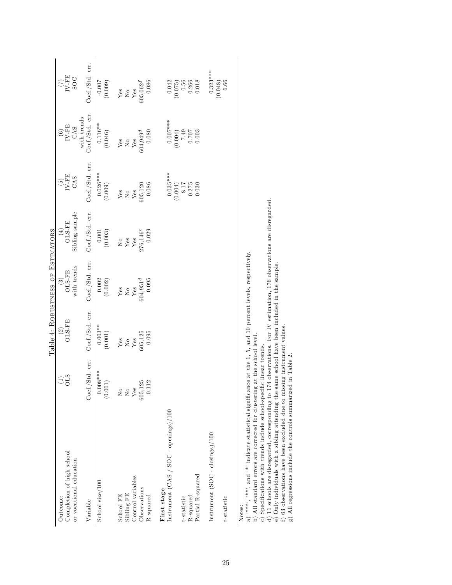|                                                      |                          | Table 4: ROBUSTNESS OF ESTIMATORS  |                       |                                |                                       |                                                        |                                                                  |
|------------------------------------------------------|--------------------------|------------------------------------|-----------------------|--------------------------------|---------------------------------------|--------------------------------------------------------|------------------------------------------------------------------|
| Completion of high school<br>Outcome:                | $\widetilde{\Xi}^0_0$    | $\frac{\text{(2)}}{\text{OLS-FE}}$ | $\frac{(3)}{01.5-FE}$ | $\frac{(4)}{(15-FE)}$          | $\frac{\text{(5)}}{\text{IV-FE}}$ CAS | $\frac{\textbf{(6)}}{\textbf{IV-FE}}$ CAS              | $\frac{7}{\text{N-FE}}$ SOC                                      |
| or vocational education                              |                          |                                    | with trends           | Sibling sample                 |                                       |                                                        |                                                                  |
| Variable                                             | Coef./Std. err.          | Coef./Std. err.                    | Coef./Std. err.       | Coef./Std. err.                | Coef./Std. err.                       | Coef./Std. err.<br>with trends                         | Coef./Std. err.                                                  |
| School size/100                                      | $0.008***$<br>(0.001)    | $\overline{0.003}$ **<br>(0.001)   | (0.002)               | (0.003)                        | $0.026***$<br>(0.009)                 | $0.116**$<br>(0.046)                                   | (60000)                                                          |
| School FE                                            | $\frac{1}{2}$            | ${\rm Yes}$                        |                       |                                |                                       |                                                        |                                                                  |
| Sibling FE                                           | $_{\rm Yes}^{\rm No}$    | $_{\rm Yes}^{\rm No}$              | $\frac{Y}{Y}$ es      | $\frac{\text{No}}{\text{Yes}}$ | $\frac{\text{Yes}}{\text{Yes}}$       | $Y_{ES}$<br>$Y_{ES}$                                   | $_{\mathrm{Yes}}^{\mathrm{Ves}}$                                 |
| Control variables                                    |                          |                                    |                       |                                |                                       |                                                        |                                                                  |
| Observations                                         | 05,125<br>0.112<br>605,1 | 605, 125                           | $604,951^d$           | $276,146^e$<br>0.029           | 605,120                               | $0.4,949$ <sup>d</sup>                                 | $305,062^{f}$                                                    |
| R-squared                                            |                          | 0.095                              | 0.095                 |                                | 0.086                                 | 0.080                                                  | 0.086                                                            |
| Instrument (CAS / SOC - openings)/100<br>First stage |                          |                                    |                       |                                | $0.035***$                            | $0.007***$                                             |                                                                  |
|                                                      |                          |                                    |                       |                                | (0.004)                               | (0.004)                                                |                                                                  |
| R-squared<br>t-statistic                             |                          |                                    |                       |                                | $\frac{8.17}{51.8}$                   | $\begin{array}{c} 500000 \\ 20200 \\ 672\n\end{array}$ | $\begin{array}{c} 0.042 \\ (0.075) \\ 0.56 \\ 0.266 \end{array}$ |
| Partial R-squared                                    |                          |                                    |                       |                                | 0.030                                 |                                                        | 0.018                                                            |
| Instrument (SOC - closings)/100                      |                          |                                    |                       |                                |                                       |                                                        | $0.323***$                                                       |
|                                                      |                          |                                    |                       |                                |                                       |                                                        | (0.048)                                                          |
| t-statistic                                          |                          |                                    |                       |                                |                                       |                                                        | 6.66                                                             |
| $N \sim t \sim$                                      |                          |                                    |                       |                                |                                       |                                                        |                                                                  |

a) <sup>\*\*\*\*\*</sup>, \*\*\*, and <sup>\*\*</sup> indicate statistical significance at the 1, 5, and 10 percent levels, respectively.

b) All standard errors are corrected for clustering at the school level.

c) Specifications with trends include school-specific linear trends.

Notes:<br>
a) "\*\*\*, "\*\*", and "\*" indicate statistical significance at the 1, 5, and 10 percent levels, respectively.<br>
b) All standard errors are corrected for clustering at the school level.<br>
c) Specifications with trends i d) 11 schools are disregarded, corresponding to 174 observations. For IV estimation, 176 observations are disregarded.

e) Only individuals with a sibling attending the same school have been included in the sample. f ) 63 observations have been excluded due to missing instrument values.

g) All regressions include the controls summarized in Table 2.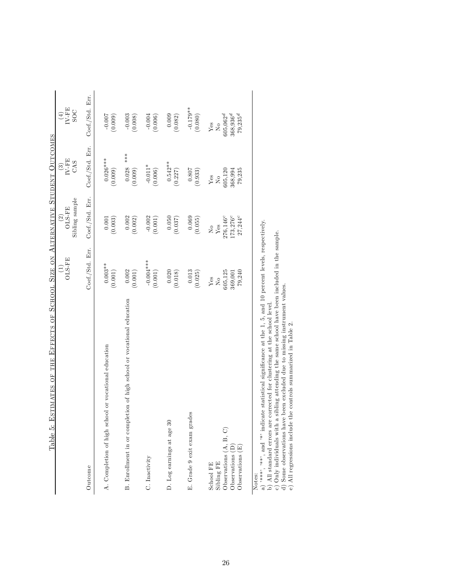| ESTIMATES OF THE EFFECTS OF SCHOOL SIZE ON ALTERNATIVE STUDENT OUTCOMES<br>Table 5: |                                |                      |                             |                                                                     |
|-------------------------------------------------------------------------------------|--------------------------------|----------------------|-----------------------------|---------------------------------------------------------------------|
|                                                                                     | $\left(1\right)$               | $\left( 2\right)$    | $\widehat{\mathfrak{S}}$    |                                                                     |
|                                                                                     | OLS-FE                         | OLS-FE               | $\text{IV-FE}$              | $\begin{array}{c} (4) \\ \text{IV-FE} \\ \text{SOC} \\ \end{array}$ |
|                                                                                     |                                | Sibling sample       | CAS                         |                                                                     |
| Outcome                                                                             | Coef./Std. Err.                | Coef./Std. Err.      | Coef./Std. Err.             | Coef./Std. Err.                                                     |
| A. Completion of high school or vocational education                                | $0.003**$<br>(0.001)           | 0.001<br>(0.003)     | $0.026***$<br>(0.009)       | $-0.007$<br>(0.009)                                                 |
| B. Enrollment in or completion of high school or vocational education               | 0.002<br>(0.001)               | 0.002<br>(0.002)     | $***$<br>0.028<br>(0.009)   | $-0.003$<br>(0.008)                                                 |
| C. Inactivity                                                                       | $-0.004***$<br>(0.001)         | $-0.002$<br>(0.001)  | $-0.011*$<br>(0.006)        | $-0.004$<br>(0.006)                                                 |
| D. Log earnings at age 30                                                           | 0.020<br>(0.018)               | 0.050<br>(0.037)     | $0.542**$<br>(0.227)        | 0.009<br>(0.082)                                                    |
| E. Grade 9 exit exam grades                                                         | 0.013<br>(0.025)               | 0.069<br>(0.055)     | 108.0<br>(0.933)            | $-0.179**$<br>(0.080)                                               |
| Sibling FE<br>School FE                                                             | Yes<br>$\overline{\mathsf{X}}$ | ο<br>Υes             | Yes<br>$_{\rm N_o}^{\circ}$ | Yes<br>$\overline{\mathsf{X}}$                                      |
| Observations $(A, B, C)$                                                            | 305,125                        | 276,146 <sup>c</sup> | 305,120                     | $605,062^{d}$                                                       |
| Observations (D)                                                                    | 369,001                        | $173,276^c$          | 368,994                     | $368,936^{d}$                                                       |
| Observations (E)                                                                    | 79,240                         | 27,244 <sup>c</sup>  | 79,235                      | $79,235^{d}$                                                        |
| Notes:                                                                              |                                |                      |                             |                                                                     |

a) \*\*\*\*, \*\*\*, and \*\* indicate statistical significance at the 1, 5, and 10 percent levels, respectively.<br>b) All standard errors are corrected for clustering at the school level.<br>c) Only individuals with a sibling attendin a) <sup>\*\*\*\*</sup>, \*\*\*, and <sup>\*\*</sup> indicate statistical significance at the 1, 5, and 10 percent levels, respectively.

b) All standard errors are corrected for clustering at the school level.

c) Only individuals with a sibling attending the same school have been included in the sample. d) Some observations have been excluded due to missing instrument values.

e) All regressions include the controls summarized in Table 2.